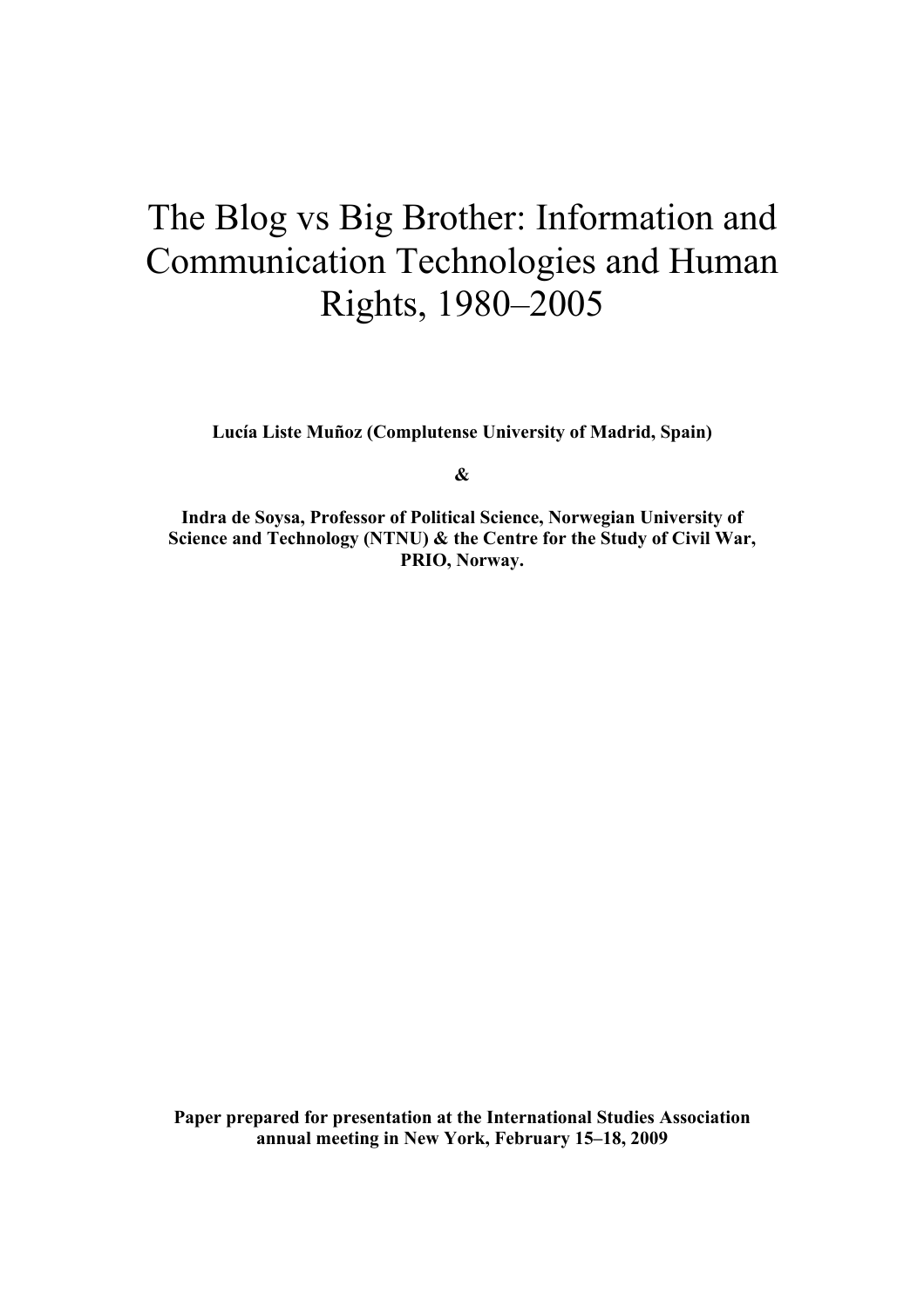# The Blog vs Big Brother: Information and Communication Technologies and Human Rights, 1980–2005

**Lucía Liste Muñoz (Complutense University of Madrid, Spain)**

**&**

**Indra de Soysa, Professor of Political Science, Norwegian University of Science and Technology (NTNU) & the Centre for the Study of Civil War, PRIO, Norway.**

**Paper prepared for presentation at the International Studies Association annual meeting in New York, February 15–18, 2009**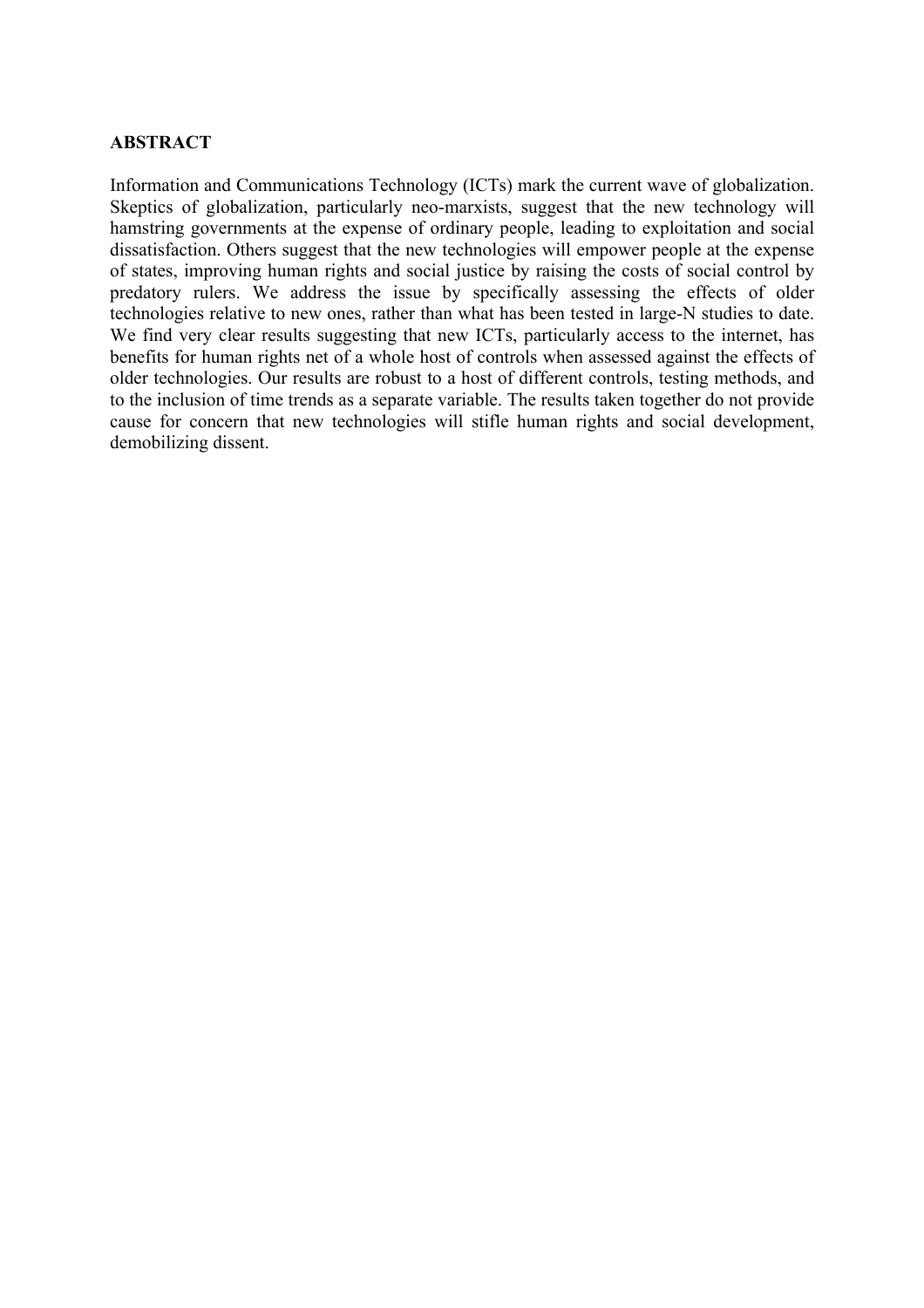# **ABSTRACT**

Information and Communications Technology (ICTs) mark the current wave of globalization. Skeptics of globalization, particularly neo-marxists, suggest that the new technology will hamstring governments at the expense of ordinary people, leading to exploitation and social dissatisfaction. Others suggest that the new technologies will empower people at the expense of states, improving human rights and social justice by raising the costs of social control by predatory rulers. We address the issue by specifically assessing the effects of older technologies relative to new ones, rather than what has been tested in large-N studies to date. We find very clear results suggesting that new ICTs, particularly access to the internet, has benefits for human rights net of a whole host of controls when assessed against the effects of older technologies. Our results are robust to a host of different controls, testing methods, and to the inclusion of time trends as a separate variable. The results taken together do not provide cause for concern that new technologies will stifle human rights and social development, demobilizing dissent.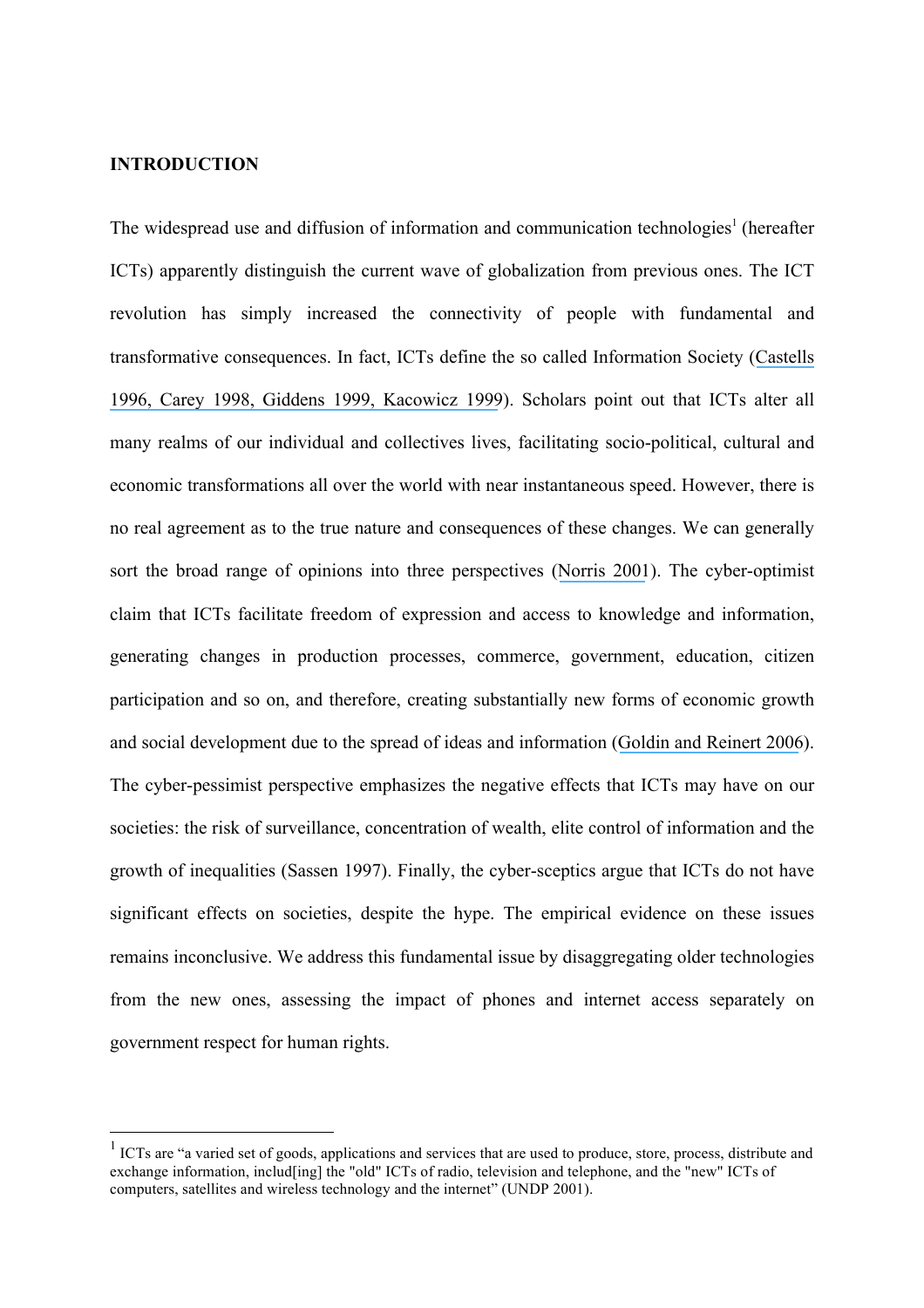## **INTRODUCTION**

The widespread use and diffusion of information and communication technologies<sup>1</sup> (hereafter ICTs) apparently distinguish the current wave of globalization from previous ones. The ICT revolution has simply increased the connectivity of people with fundamental and transformative consequences. In fact, ICTs define the so called Information Society ([Castells](https://www.researchgate.net/publication/274542628_The_Rise_of_the_Network_Society_The_Information_Age_Economy_Society_and_Culture_Vol_I?el=1_x_8&enrichId=rgreq-036aead6e465d93385ea61af7c07e51e-XXX&enrichSource=Y292ZXJQYWdlOzI1NDg5MjUyOTtBUzoxMDY1MTc0ODMyMjkxODVAMTQwMjQwNzE1NjQ2MQ==) [1996](https://www.researchgate.net/publication/274542628_The_Rise_of_the_Network_Society_The_Information_Age_Economy_Society_and_Culture_Vol_I?el=1_x_8&enrichId=rgreq-036aead6e465d93385ea61af7c07e51e-XXX&enrichSource=Y292ZXJQYWdlOzI1NDg5MjUyOTtBUzoxMDY1MTc0ODMyMjkxODVAMTQwMjQwNzE1NjQ2MQ==)[, Carey 1998](https://www.researchgate.net/publication/254120096_The_Internet_and_the_End_of_the_National_Communication_System_Uncertain_Predictions_of_an_Uncertain_Future?el=1_x_8&enrichId=rgreq-036aead6e465d93385ea61af7c07e51e-XXX&enrichSource=Y292ZXJQYWdlOzI1NDg5MjUyOTtBUzoxMDY1MTc0ODMyMjkxODVAMTQwMjQwNzE1NjQ2MQ==)[, Giddens 1999](https://www.researchgate.net/publication/261043460_Runaway_World_How_Globalization_Is_Shaping_Our_Lives?el=1_x_8&enrichId=rgreq-036aead6e465d93385ea61af7c07e51e-XXX&enrichSource=Y292ZXJQYWdlOzI1NDg5MjUyOTtBUzoxMDY1MTc0ODMyMjkxODVAMTQwMjQwNzE1NjQ2MQ==)[, Kacowicz 1999](https://www.researchgate.net/publication/240609920_Regionalization_Globalization_and_Nationalism_Convergent_Divergent_or_Overlapping?el=1_x_8&enrichId=rgreq-036aead6e465d93385ea61af7c07e51e-XXX&enrichSource=Y292ZXJQYWdlOzI1NDg5MjUyOTtBUzoxMDY1MTc0ODMyMjkxODVAMTQwMjQwNzE1NjQ2MQ==)). Scholars point out that ICTs alter all many realms of our individual and collectives lives, facilitating socio-political, cultural and economic transformations all over the world with near instantaneous speed. However, there is no real agreement as to the true nature and consequences of these changes. We can generally sort the broad range of opinions into three perspectives ([Norris 2001](https://www.researchgate.net/publication/261947703_Digital_Divide_Civic_Engagement_Information_Poverty_and_the_Internet_World-Wide?el=1_x_8&enrichId=rgreq-036aead6e465d93385ea61af7c07e51e-XXX&enrichSource=Y292ZXJQYWdlOzI1NDg5MjUyOTtBUzoxMDY1MTc0ODMyMjkxODVAMTQwMjQwNzE1NjQ2MQ==)). The cyber-optimist claim that ICTs facilitate freedom of expression and access to knowledge and information, generating changes in production processes, commerce, government, education, citizen participation and so on, and therefore, creating substantially new forms of economic growth and social development due to the spread of ideas and information ([Goldin and Reinert 2006](https://www.researchgate.net/publication/44839300_Globalization_for_Development_Trade_Finance_Aid_Migration_and_Policy?el=1_x_8&enrichId=rgreq-036aead6e465d93385ea61af7c07e51e-XXX&enrichSource=Y292ZXJQYWdlOzI1NDg5MjUyOTtBUzoxMDY1MTc0ODMyMjkxODVAMTQwMjQwNzE1NjQ2MQ==)). The cyber-pessimist perspective emphasizes the negative effects that ICTs may have on our societies: the risk of surveillance, concentration of wealth, elite control of information and the growth of inequalities (Sassen 1997). Finally, the cyber-sceptics argue that ICTs do not have significant effects on societies, despite the hype. The empirical evidence on these issues remains inconclusive. We address this fundamental issue by disaggregating older technologies from the new ones, assessing the impact of phones and internet access separately on government respect for human rights.

<sup>&</sup>lt;sup>1</sup> ICTs are "a varied set of goods, applications and services that are used to produce, store, process, distribute and exchange information, includ[ing] the "old" ICTs of radio, television and telephone, and the "new" ICTs of computers, satellites and wireless technology and the internet" (UNDP 2001).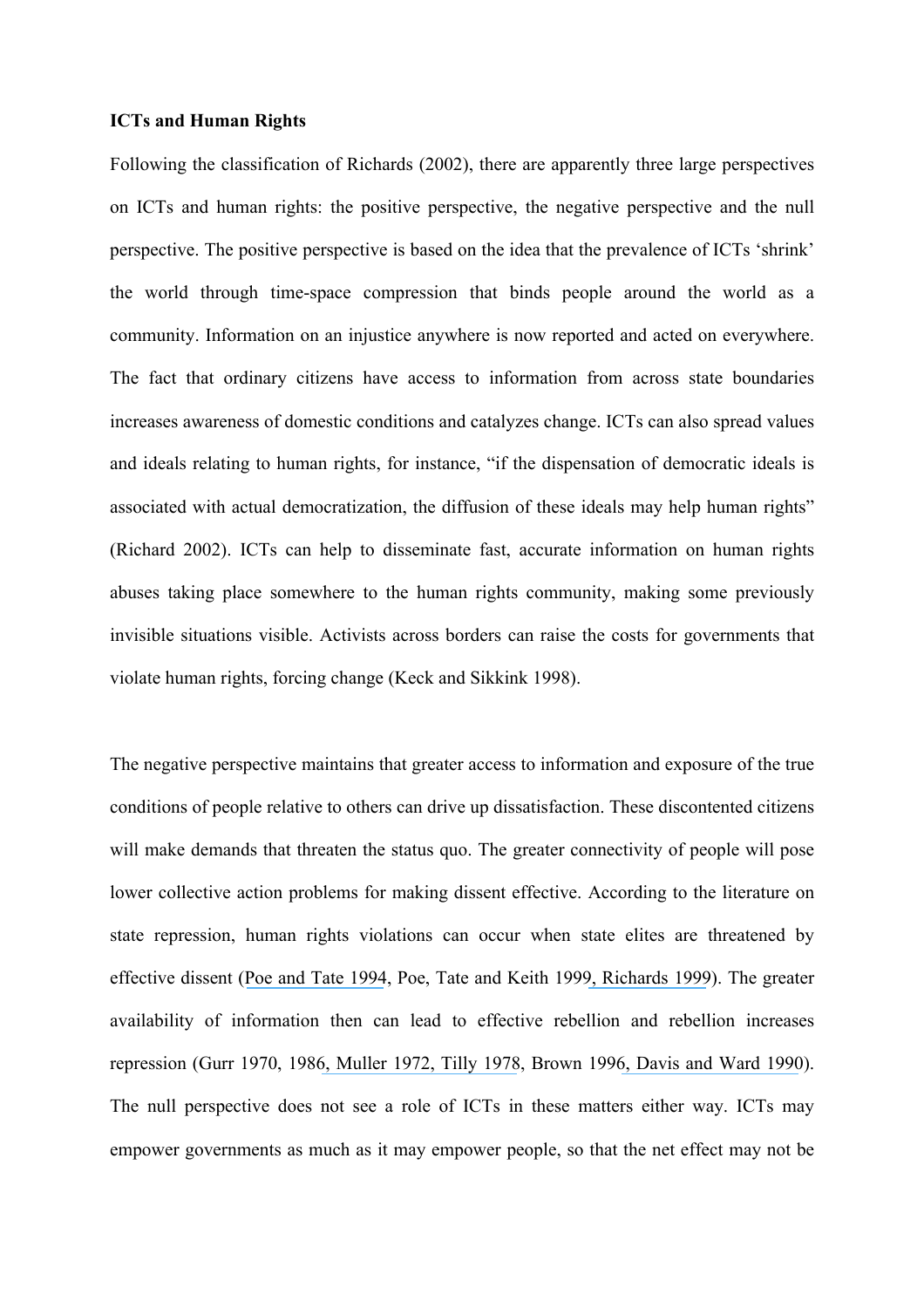#### **ICTs and Human Rights**

Following the classification of Richards (2002), there are apparently three large perspectives on ICTs and human rights: the positive perspective, the negative perspective and the null perspective. The positive perspective is based on the idea that the prevalence of ICTs 'shrink' the world through time-space compression that binds people around the world as a community. Information on an injustice anywhere is now reported and acted on everywhere. The fact that ordinary citizens have access to information from across state boundaries increases awareness of domestic conditions and catalyzes change. ICTs can also spread values and ideals relating to human rights, for instance, "if the dispensation of democratic ideals is associated with actual democratization, the diffusion of these ideals may help human rights" (Richard 2002). ICTs can help to disseminate fast, accurate information on human rights abuses taking place somewhere to the human rights community, making some previously invisible situations visible. Activists across borders can raise the costs for governments that violate human rights, forcing change (Keck and Sikkink 1998).

The negative perspective maintains that greater access to information and exposure of the true conditions of people relative to others can drive up dissatisfaction. These discontented citizens will make demands that threaten the status quo. The greater connectivity of people will pose lower collective action problems for making dissent effective. According to the literature on state repression, human rights violations can occur when state elites are threatened by effective dissent ([Poe and Tate 1994](https://www.researchgate.net/publication/247392889_Repression_of_Human_Rights_to_Personal_Integrity_in_the_1980s_A_Global_Analysis?el=1_x_8&enrichId=rgreq-036aead6e465d93385ea61af7c07e51e-XXX&enrichSource=Y292ZXJQYWdlOzI1NDg5MjUyOTtBUzoxMDY1MTc0ODMyMjkxODVAMTQwMjQwNzE1NjQ2MQ==), Poe, Tate and Keith 199[9, Richards 1999](https://www.researchgate.net/publication/227764083_Measuring_the_Level_Pattern_and_Sequence_of_Government_Respect_for_Physical_Integrity_Rights?el=1_x_8&enrichId=rgreq-036aead6e465d93385ea61af7c07e51e-XXX&enrichSource=Y292ZXJQYWdlOzI1NDg5MjUyOTtBUzoxMDY1MTc0ODMyMjkxODVAMTQwMjQwNzE1NjQ2MQ==)). The greater availability of information then can lead to effective rebellion and rebellion increases repression (Gurr 1970, 198[6, Muller 1972](https://www.researchgate.net/publication/273074799_A_Test_of_a_Partial_Theory_of_Political_Violence?el=1_x_8&enrichId=rgreq-036aead6e465d93385ea61af7c07e51e-XXX&enrichSource=Y292ZXJQYWdlOzI1NDg5MjUyOTtBUzoxMDY1MTc0ODMyMjkxODVAMTQwMjQwNzE1NjQ2MQ==)[, Tilly 1978](https://www.researchgate.net/publication/50324720_From_Mobilization_to_Revolution?el=1_x_8&enrichId=rgreq-036aead6e465d93385ea61af7c07e51e-XXX&enrichSource=Y292ZXJQYWdlOzI1NDg5MjUyOTtBUzoxMDY1MTc0ODMyMjkxODVAMTQwMjQwNzE1NjQ2MQ==), Brown 199[6, Davis and Ward 1990](https://www.researchgate.net/publication/258144992_They_Dance_Alone_Deaths_and_the_Disappeared_in_Contemporary_Chile?el=1_x_8&enrichId=rgreq-036aead6e465d93385ea61af7c07e51e-XXX&enrichSource=Y292ZXJQYWdlOzI1NDg5MjUyOTtBUzoxMDY1MTc0ODMyMjkxODVAMTQwMjQwNzE1NjQ2MQ==)). The null perspective does not see a role of ICTs in these matters either way. ICTs may empower governments as much as it may empower people, so that the net effect may not be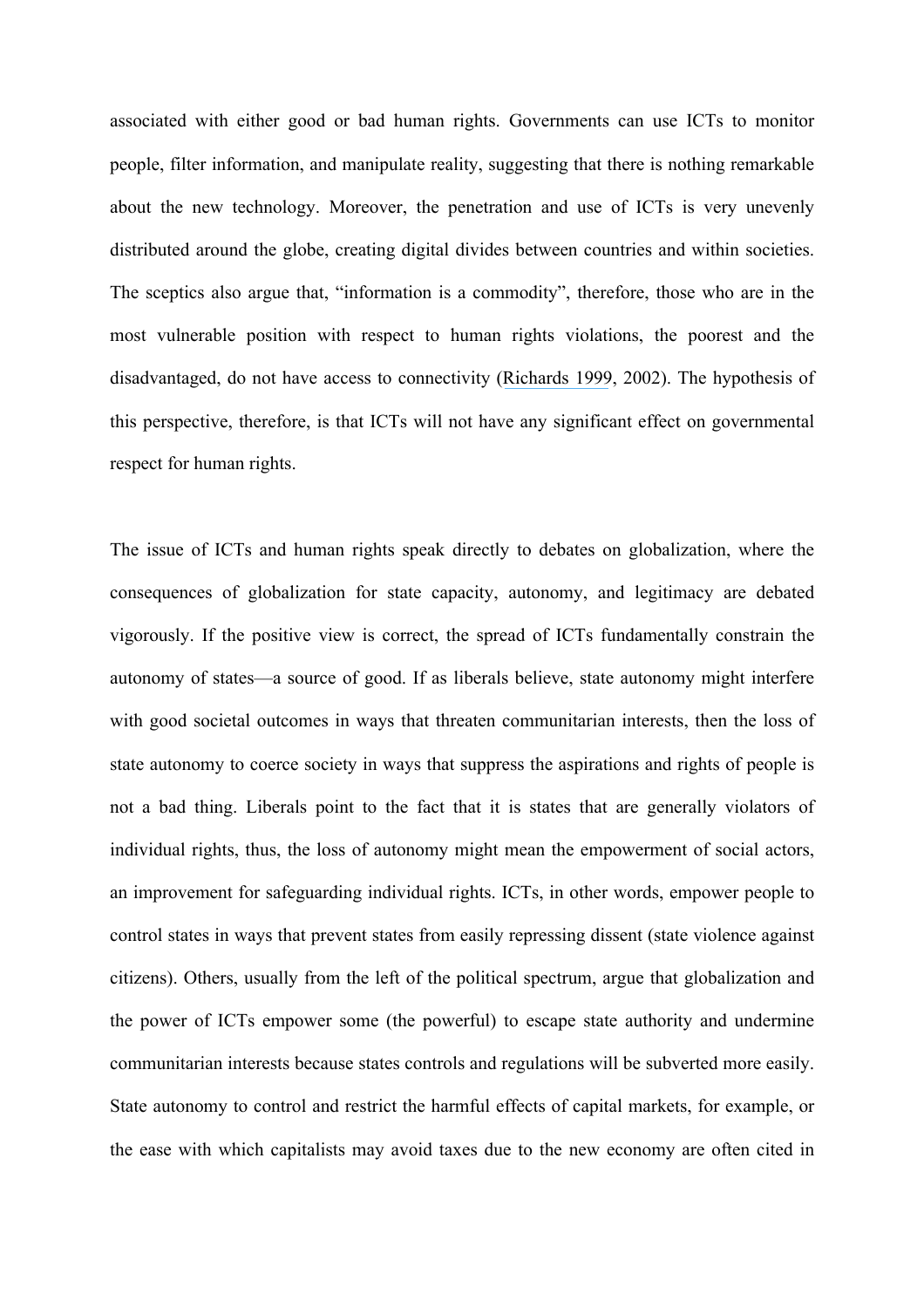associated with either good or bad human rights. Governments can use ICTs to monitor people, filter information, and manipulate reality, suggesting that there is nothing remarkable about the new technology. Moreover, the penetration and use of ICTs is very unevenly distributed around the globe, creating digital divides between countries and within societies. The sceptics also argue that, "information is a commodity", therefore, those who are in the most vulnerable position with respect to human rights violations, the poorest and the disadvantaged, do not have access to connectivity ([Richards 1999](https://www.researchgate.net/publication/227764083_Measuring_the_Level_Pattern_and_Sequence_of_Government_Respect_for_Physical_Integrity_Rights?el=1_x_8&enrichId=rgreq-036aead6e465d93385ea61af7c07e51e-XXX&enrichSource=Y292ZXJQYWdlOzI1NDg5MjUyOTtBUzoxMDY1MTc0ODMyMjkxODVAMTQwMjQwNzE1NjQ2MQ==), 2002). The hypothesis of this perspective, therefore, is that ICTs will not have any significant effect on governmental respect for human rights.

The issue of ICTs and human rights speak directly to debates on globalization, where the consequences of globalization for state capacity, autonomy, and legitimacy are debated vigorously. If the positive view is correct, the spread of ICTs fundamentally constrain the autonomy of states—a source of good. If as liberals believe, state autonomy might interfere with good societal outcomes in ways that threaten communitarian interests, then the loss of state autonomy to coerce society in ways that suppress the aspirations and rights of people is not a bad thing. Liberals point to the fact that it is states that are generally violators of individual rights, thus, the loss of autonomy might mean the empowerment of social actors, an improvement for safeguarding individual rights. ICTs, in other words, empower people to control states in ways that prevent states from easily repressing dissent (state violence against citizens). Others, usually from the left of the political spectrum, argue that globalization and the power of ICTs empower some (the powerful) to escape state authority and undermine communitarian interests because states controls and regulations will be subverted more easily. State autonomy to control and restrict the harmful effects of capital markets, for example, or the ease with which capitalists may avoid taxes due to the new economy are often cited in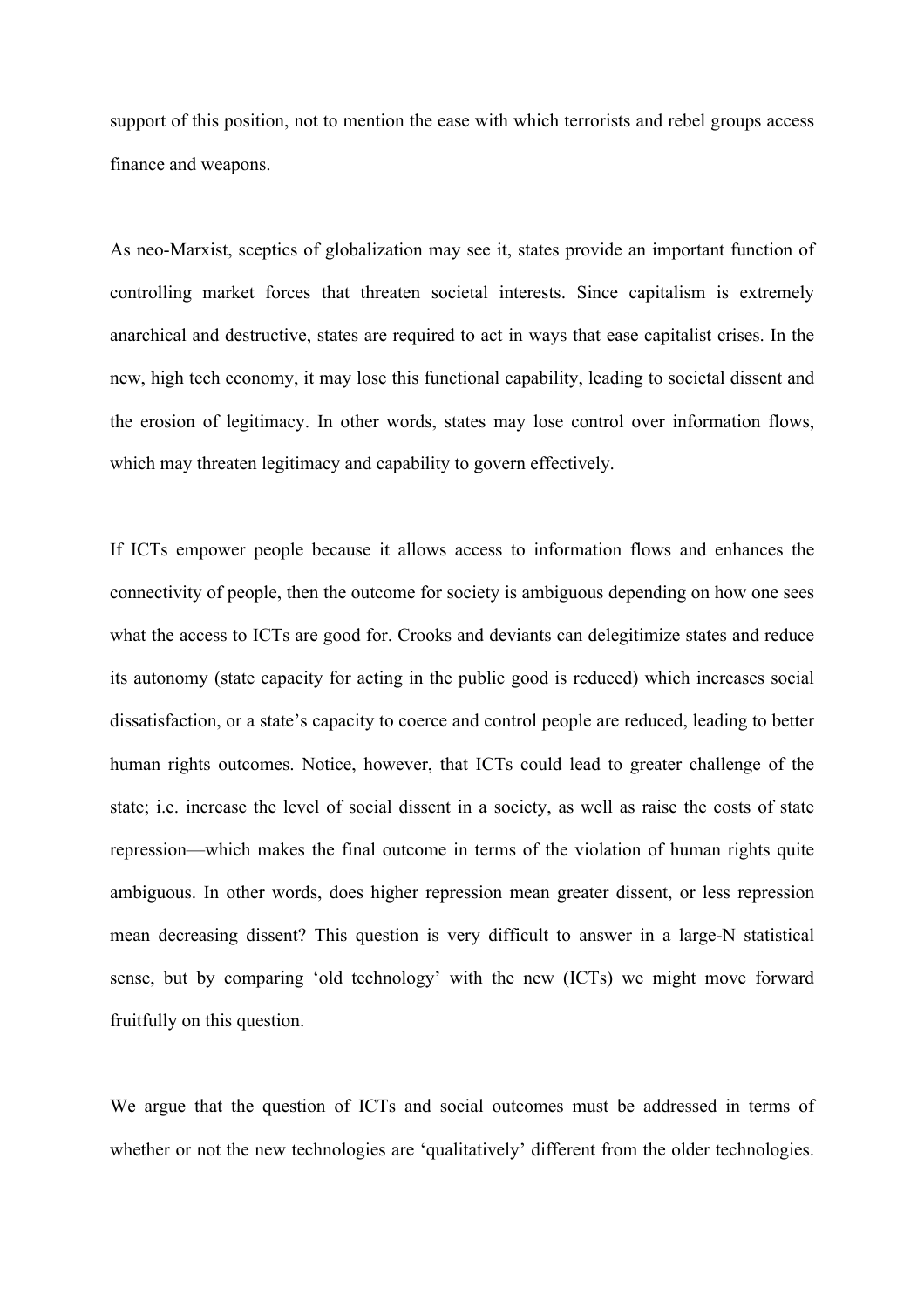support of this position, not to mention the ease with which terrorists and rebel groups access finance and weapons.

As neo-Marxist, sceptics of globalization may see it, states provide an important function of controlling market forces that threaten societal interests. Since capitalism is extremely anarchical and destructive, states are required to act in ways that ease capitalist crises. In the new, high tech economy, it may lose this functional capability, leading to societal dissent and the erosion of legitimacy. In other words, states may lose control over information flows, which may threaten legitimacy and capability to govern effectively.

If ICTs empower people because it allows access to information flows and enhances the connectivity of people, then the outcome for society is ambiguous depending on how one sees what the access to ICTs are good for. Crooks and deviants can delegitimize states and reduce its autonomy (state capacity for acting in the public good is reduced) which increases social dissatisfaction, or a state's capacity to coerce and control people are reduced, leading to better human rights outcomes. Notice, however, that ICTs could lead to greater challenge of the state; i.e. increase the level of social dissent in a society, as well as raise the costs of state repression—which makes the final outcome in terms of the violation of human rights quite ambiguous. In other words, does higher repression mean greater dissent, or less repression mean decreasing dissent? This question is very difficult to answer in a large-N statistical sense, but by comparing 'old technology' with the new (ICTs) we might move forward fruitfully on this question.

We argue that the question of ICTs and social outcomes must be addressed in terms of whether or not the new technologies are 'qualitatively' different from the older technologies.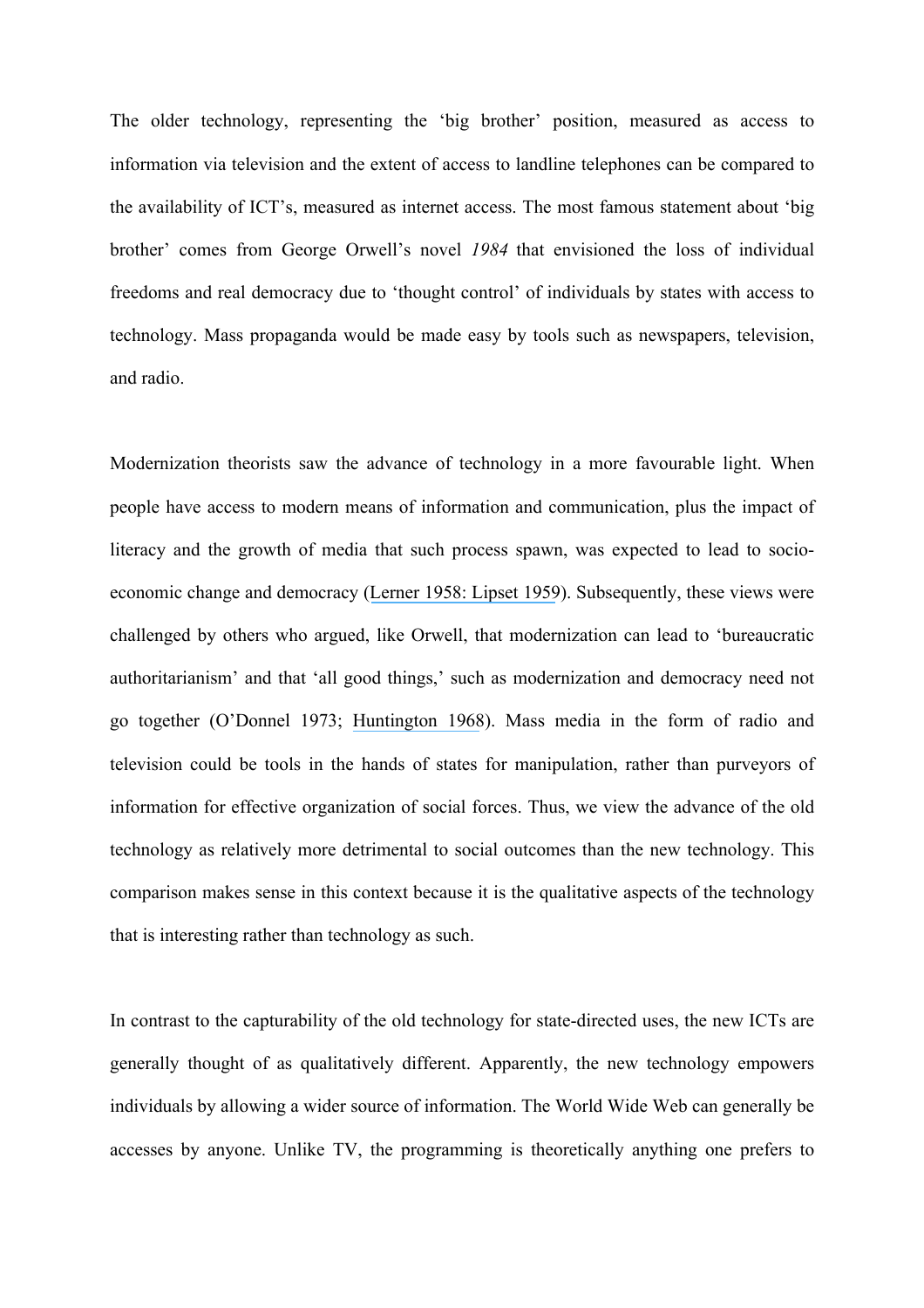The older technology, representing the 'big brother' position, measured as access to information via television and the extent of access to landline telephones can be compared to the availability of ICT's, measured as internet access. The most famous statement about 'big brother' comes from George Orwell's novel *1984* that envisioned the loss of individual freedoms and real democracy due to 'thought control' of individuals by states with access to technology. Mass propaganda would be made easy by tools such as newspapers, television, and radio.

Modernization theorists saw the advance of technology in a more favourable light. When people have access to modern means of information and communication, plus the impact of literacy and the growth of media that such process spawn, was expected to lead to socioeconomic change and democracy ([Lerner 1958](https://www.researchgate.net/publication/232542855_The_Passing_of_Traditional_Society_Modernizing_the_Middle_East?el=1_x_8&enrichId=rgreq-036aead6e465d93385ea61af7c07e51e-XXX&enrichSource=Y292ZXJQYWdlOzI1NDg5MjUyOTtBUzoxMDY1MTc0ODMyMjkxODVAMTQwMjQwNzE1NjQ2MQ==)[: Lipset 1959](https://www.researchgate.net/publication/247590073_Some_Social_Requisites_of_Democracy_Economic_Development_and_Political_Legitimacy?el=1_x_8&enrichId=rgreq-036aead6e465d93385ea61af7c07e51e-XXX&enrichSource=Y292ZXJQYWdlOzI1NDg5MjUyOTtBUzoxMDY1MTc0ODMyMjkxODVAMTQwMjQwNzE1NjQ2MQ==)). Subsequently, these views were challenged by others who argued, like Orwell, that modernization can lead to 'bureaucratic authoritarianism' and that 'all good things,' such as modernization and democracy need not go together (O'Donnel 1973; [Huntington 1968](https://www.researchgate.net/publication/235674248_Political_Order_In_Changing_Societies?el=1_x_8&enrichId=rgreq-036aead6e465d93385ea61af7c07e51e-XXX&enrichSource=Y292ZXJQYWdlOzI1NDg5MjUyOTtBUzoxMDY1MTc0ODMyMjkxODVAMTQwMjQwNzE1NjQ2MQ==)). Mass media in the form of radio and television could be tools in the hands of states for manipulation, rather than purveyors of information for effective organization of social forces. Thus, we view the advance of the old technology as relatively more detrimental to social outcomes than the new technology. This comparison makes sense in this context because it is the qualitative aspects of the technology that is interesting rather than technology as such.

In contrast to the capturability of the old technology for state-directed uses, the new ICTs are generally thought of as qualitatively different. Apparently, the new technology empowers individuals by allowing a wider source of information. The World Wide Web can generally be accesses by anyone. Unlike TV, the programming is theoretically anything one prefers to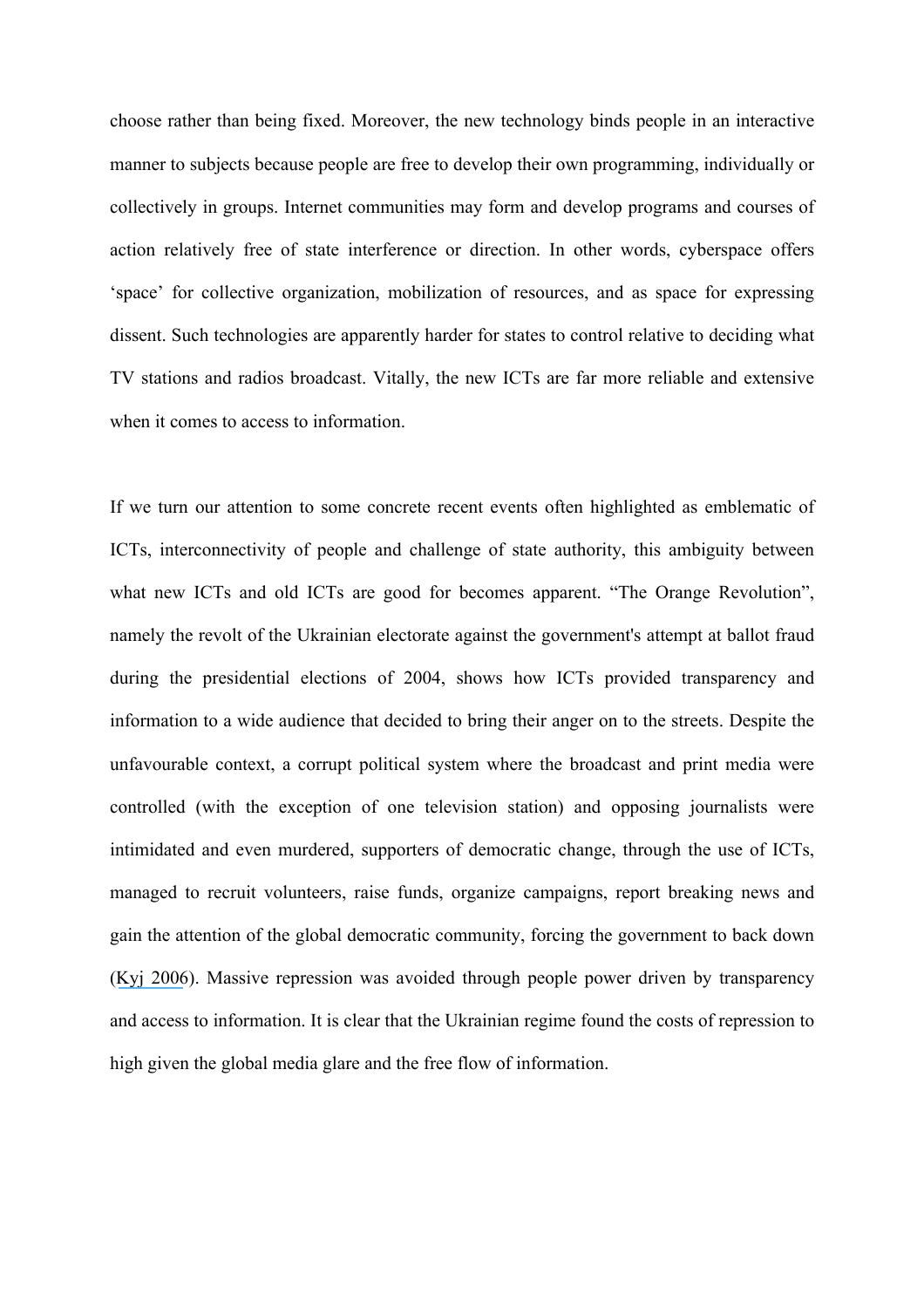choose rather than being fixed. Moreover, the new technology binds people in an interactive manner to subjects because people are free to develop their own programming, individually or collectively in groups. Internet communities may form and develop programs and courses of action relatively free of state interference or direction. In other words, cyberspace offers 'space' for collective organization, mobilization of resources, and as space for expressing dissent. Such technologies are apparently harder for states to control relative to deciding what TV stations and radios broadcast. Vitally, the new ICTs are far more reliable and extensive when it comes to access to information.

If we turn our attention to some concrete recent events often highlighted as emblematic of ICTs, interconnectivity of people and challenge of state authority, this ambiguity between what new ICTs and old ICTs are good for becomes apparent. "The Orange Revolution", namely the revolt of the Ukrainian electorate against the government's attempt at ballot fraud during the presidential elections of 2004, shows how ICTs provided transparency and information to a wide audience that decided to bring their anger on to the streets. Despite the unfavourable context, a corrupt political system where the broadcast and print media were controlled (with the exception of one television station) and opposing journalists were intimidated and even murdered, supporters of democratic change, through the use of ICTs, managed to recruit volunteers, raise funds, organize campaigns, report breaking news and gain the attention of the global democratic community, forcing the government to back down ([Kyj 2006](https://www.researchgate.net/publication/222709897_Internet_use_in_Ukraine)). Massive repression was avoided through people power driven by transparency and access to information. It is clear that the Ukrainian regime found the costs of repression to high given the global media glare and the free flow of information.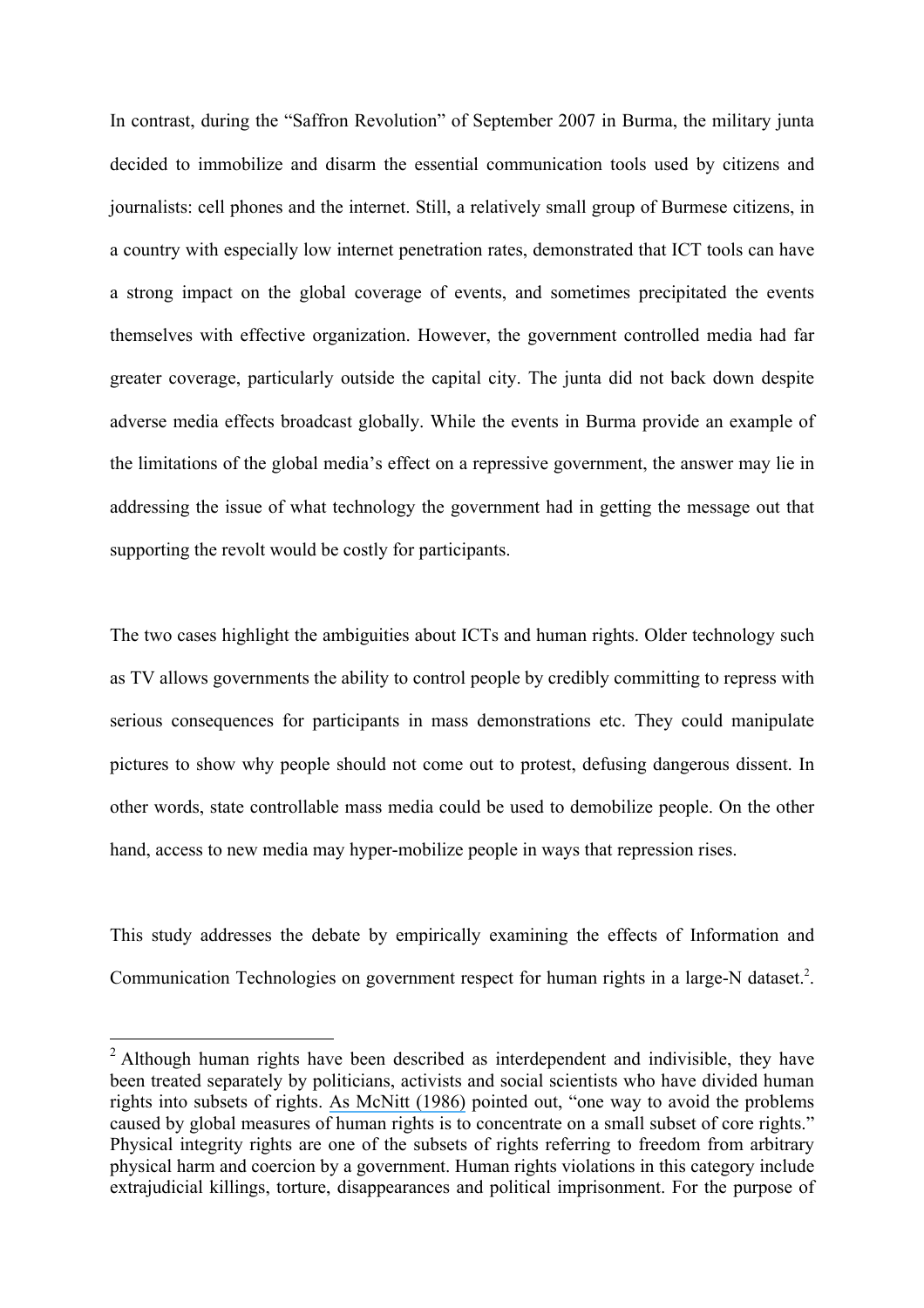In contrast, during the "Saffron Revolution" of September 2007 in Burma, the military junta decided to immobilize and disarm the essential communication tools used by citizens and journalists: cell phones and the internet. Still, a relatively small group of Burmese citizens, in a country with especially low internet penetration rates, demonstrated that ICT tools can have a strong impact on the global coverage of events, and sometimes precipitated the events themselves with effective organization. However, the government controlled media had far greater coverage, particularly outside the capital city. The junta did not back down despite adverse media effects broadcast globally. While the events in Burma provide an example of the limitations of the global media's effect on a repressive government, the answer may lie in addressing the issue of what technology the government had in getting the message out that supporting the revolt would be costly for participants.

The two cases highlight the ambiguities about ICTs and human rights. Older technology such as TV allows governments the ability to control people by credibly committing to repress with serious consequences for participants in mass demonstrations etc. They could manipulate pictures to show why people should not come out to protest, defusing dangerous dissent. In other words, state controllable mass media could be used to demobilize people. On the other hand, access to new media may hyper-mobilize people in ways that repression rises.

This study addresses the debate by empirically examining the effects of Information and Communication Technologies on government respect for human rights in a large-N dataset.<sup>2</sup>.

<sup>&</sup>lt;sup>2</sup> Although human rights have been described as interdependent and indivisible, they have been treated separately by politicians, activists and social scientists who have divided human rights into subsets of rights. [As McNitt \(1986\)](https://www.researchgate.net/publication/229847693_MEASURING_HUMAN_RIGHTS_PROBLEMS_AND_POSSIBILITIES1?el=1_x_8&enrichId=rgreq-036aead6e465d93385ea61af7c07e51e-XXX&enrichSource=Y292ZXJQYWdlOzI1NDg5MjUyOTtBUzoxMDY1MTc0ODMyMjkxODVAMTQwMjQwNzE1NjQ2MQ==) pointed out, "one way to avoid the problems caused by global measures of human rights is to concentrate on a small subset of core rights." Physical integrity rights are one of the subsets of rights referring to freedom from arbitrary physical harm and coercion by a government. Human rights violations in this category include extrajudicial killings, torture, disappearances and political imprisonment. For the purpose of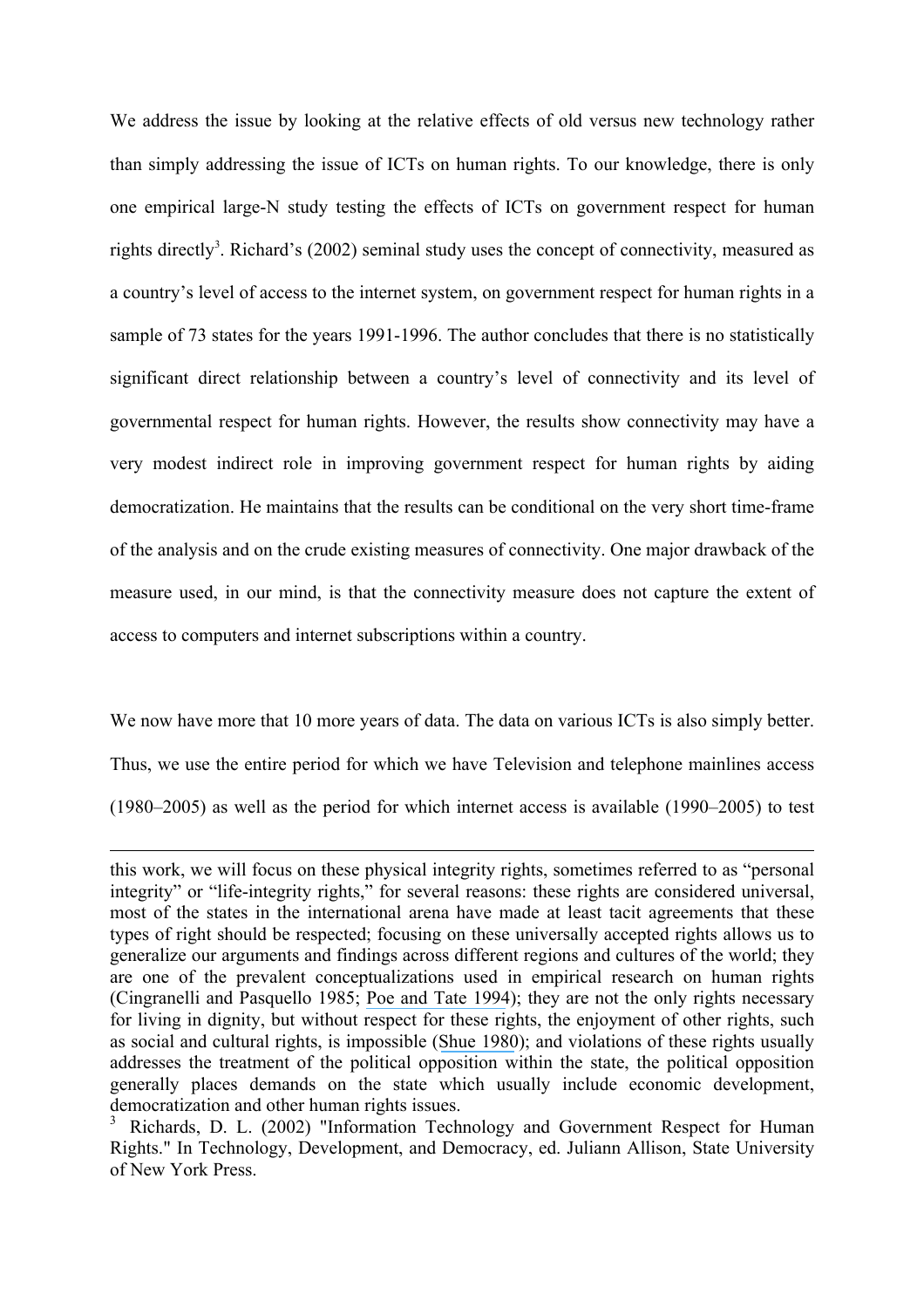We address the issue by looking at the relative effects of old versus new technology rather than simply addressing the issue of ICTs on human rights. To our knowledge, there is only one empirical large-N study testing the effects of ICTs on government respect for human rights directly<sup>3</sup>. Richard's (2002) seminal study uses the concept of connectivity, measured as a country's level of access to the internet system, on government respect for human rights in a sample of 73 states for the years 1991-1996. The author concludes that there is no statistically significant direct relationship between a country's level of connectivity and its level of governmental respect for human rights. However, the results show connectivity may have a very modest indirect role in improving government respect for human rights by aiding democratization. He maintains that the results can be conditional on the very short time-frame of the analysis and on the crude existing measures of connectivity. One major drawback of the measure used, in our mind, is that the connectivity measure does not capture the extent of access to computers and internet subscriptions within a country.

We now have more that 10 more years of data. The data on various ICTs is also simply better. Thus, we use the entire period for which we have Television and telephone mainlines access (1980–2005) as well as the period for which internet access is available (1990–2005) to test

1

this work, we will focus on these physical integrity rights, sometimes referred to as "personal integrity" or "life-integrity rights," for several reasons: these rights are considered universal, most of the states in the international arena have made at least tacit agreements that these types of right should be respected; focusing on these universally accepted rights allows us to generalize our arguments and findings across different regions and cultures of the world; they are one of the prevalent conceptualizations used in empirical research on human rights (Cingranelli and Pasquello 1985; [Poe and Tate 1994](https://www.researchgate.net/publication/247392889_Repression_of_Human_Rights_to_Personal_Integrity_in_the_1980s_A_Global_Analysis?el=1_x_8&enrichId=rgreq-036aead6e465d93385ea61af7c07e51e-XXX&enrichSource=Y292ZXJQYWdlOzI1NDg5MjUyOTtBUzoxMDY1MTc0ODMyMjkxODVAMTQwMjQwNzE1NjQ2MQ==)); they are not the only rights necessary for living in dignity, but without respect for these rights, the enjoyment of other rights, such as social and cultural rights, is impossible ([Shue 1980](https://www.researchgate.net/publication/269856691_Basic_Rights_Subsistence_Affluence_and_US_Foreign_Policy?el=1_x_8&enrichId=rgreq-036aead6e465d93385ea61af7c07e51e-XXX&enrichSource=Y292ZXJQYWdlOzI1NDg5MjUyOTtBUzoxMDY1MTc0ODMyMjkxODVAMTQwMjQwNzE1NjQ2MQ==)); and violations of these rights usually addresses the treatment of the political opposition within the state, the political opposition generally places demands on the state which usually include economic development, democratization and other human rights issues.

<sup>3</sup> Richards, D. L. (2002) "Information Technology and Government Respect for Human Rights." In Technology, Development, and Democracy, ed. Juliann Allison, State University of New York Press.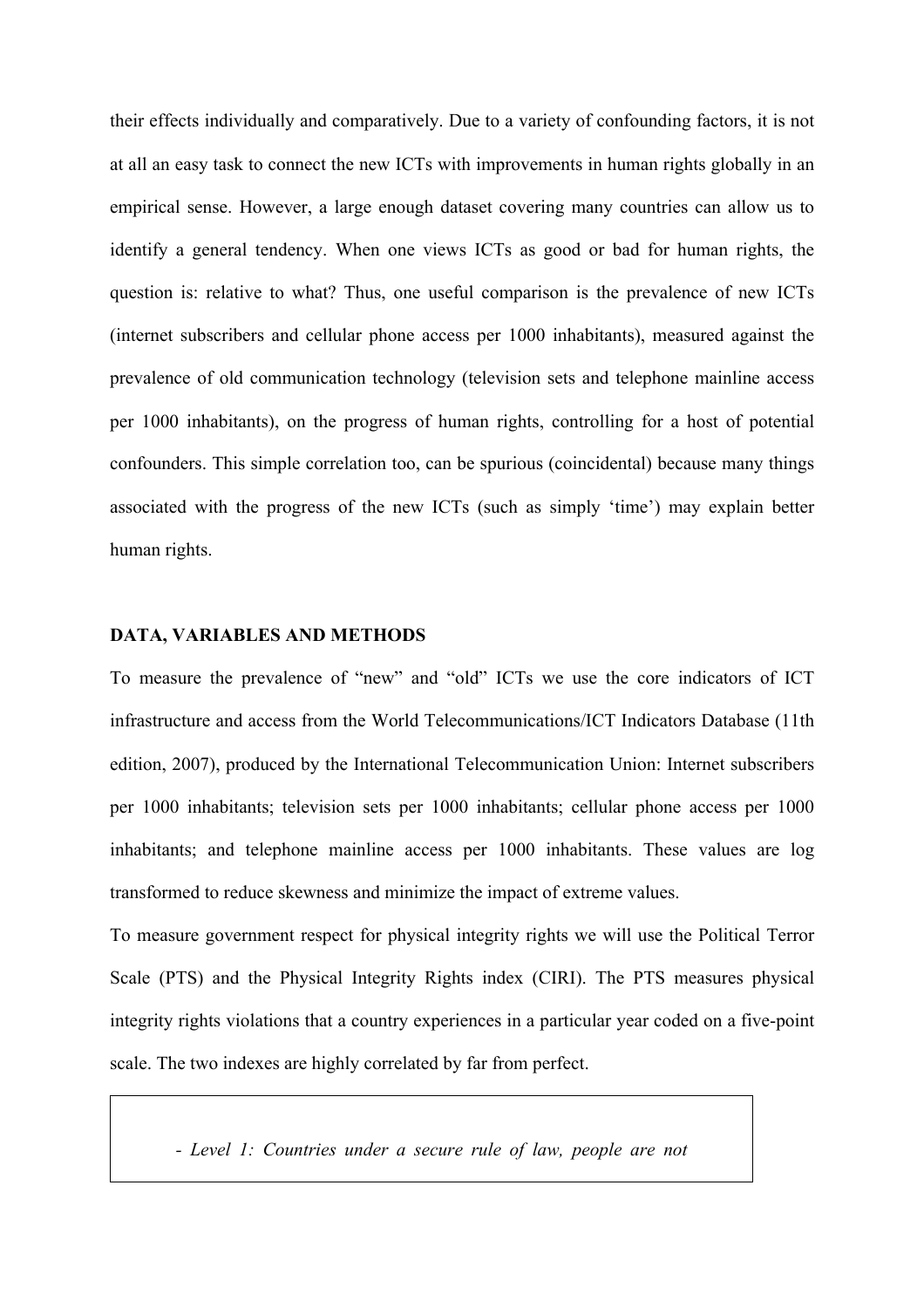their effects individually and comparatively. Due to a variety of confounding factors, it is not at all an easy task to connect the new ICTs with improvements in human rights globally in an empirical sense. However, a large enough dataset covering many countries can allow us to identify a general tendency. When one views ICTs as good or bad for human rights, the question is: relative to what? Thus, one useful comparison is the prevalence of new ICTs (internet subscribers and cellular phone access per 1000 inhabitants), measured against the prevalence of old communication technology (television sets and telephone mainline access per 1000 inhabitants), on the progress of human rights, controlling for a host of potential confounders. This simple correlation too, can be spurious (coincidental) because many things associated with the progress of the new ICTs (such as simply 'time') may explain better human rights.

## **DATA, VARIABLES AND METHODS**

To measure the prevalence of "new" and "old" ICTs we use the core indicators of ICT infrastructure and access from the World Telecommunications/ICT Indicators Database (11th edition, 2007), produced by the International Telecommunication Union: Internet subscribers per 1000 inhabitants; television sets per 1000 inhabitants; cellular phone access per 1000 inhabitants; and telephone mainline access per 1000 inhabitants. These values are log transformed to reduce skewness and minimize the impact of extreme values.

To measure government respect for physical integrity rights we will use the Political Terror Scale (PTS) and the Physical Integrity Rights index (CIRI). The PTS measures physical integrity rights violations that a country experiences in a particular year coded on a five-point scale. The two indexes are highly correlated by far from perfect.

*- Level 1: Countries under a secure rule of law, people are not*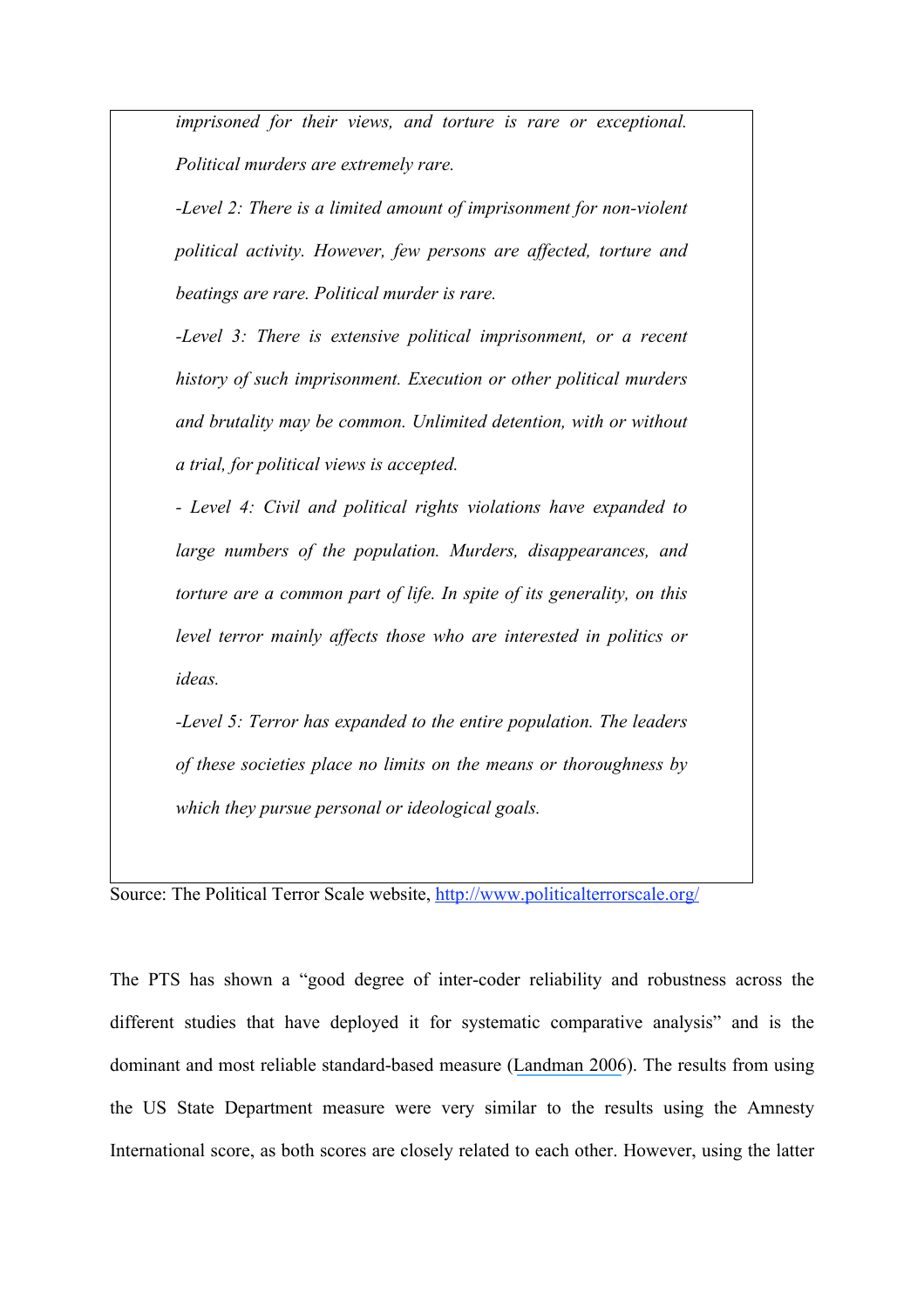*imprisoned for their views, and torture is rare or exceptional. Political murders are extremely rare.*

*-Level 2: There is a limited amount of imprisonment for non-violent political activity. However, few persons are affected, torture and beatings are rare. Political murder is rare.* 

*-Level 3: There is extensive political imprisonment, or a recent history of such imprisonment. Execution or other political murders and brutality may be common. Unlimited detention, with or without a trial, for political views is accepted.* 

*- Level 4: Civil and political rights violations have expanded to large numbers of the population. Murders, disappearances, and torture are a common part of life. In spite of its generality, on this level terror mainly affects those who are interested in politics or ideas.* 

*-Level 5: Terror has expanded to the entire population. The leaders of these societies place no limits on the means or thoroughness by which they pursue personal or ideological goals.*

Source: The Political Terror Scale website, http://www.politicalterrorscale.org/

The PTS has shown a "good degree of inter-coder reliability and robustness across the different studies that have deployed it for systematic comparative analysis" and is the dominant and most reliable standard-based measure ([Landman 2006](https://www.researchgate.net/publication/287291663_Studying_human_rights?el=1_x_8&enrichId=rgreq-036aead6e465d93385ea61af7c07e51e-XXX&enrichSource=Y292ZXJQYWdlOzI1NDg5MjUyOTtBUzoxMDY1MTc0ODMyMjkxODVAMTQwMjQwNzE1NjQ2MQ==)). The results from using the US State Department measure were very similar to the results using the Amnesty International score, as both scores are closely related to each other. However, using the latter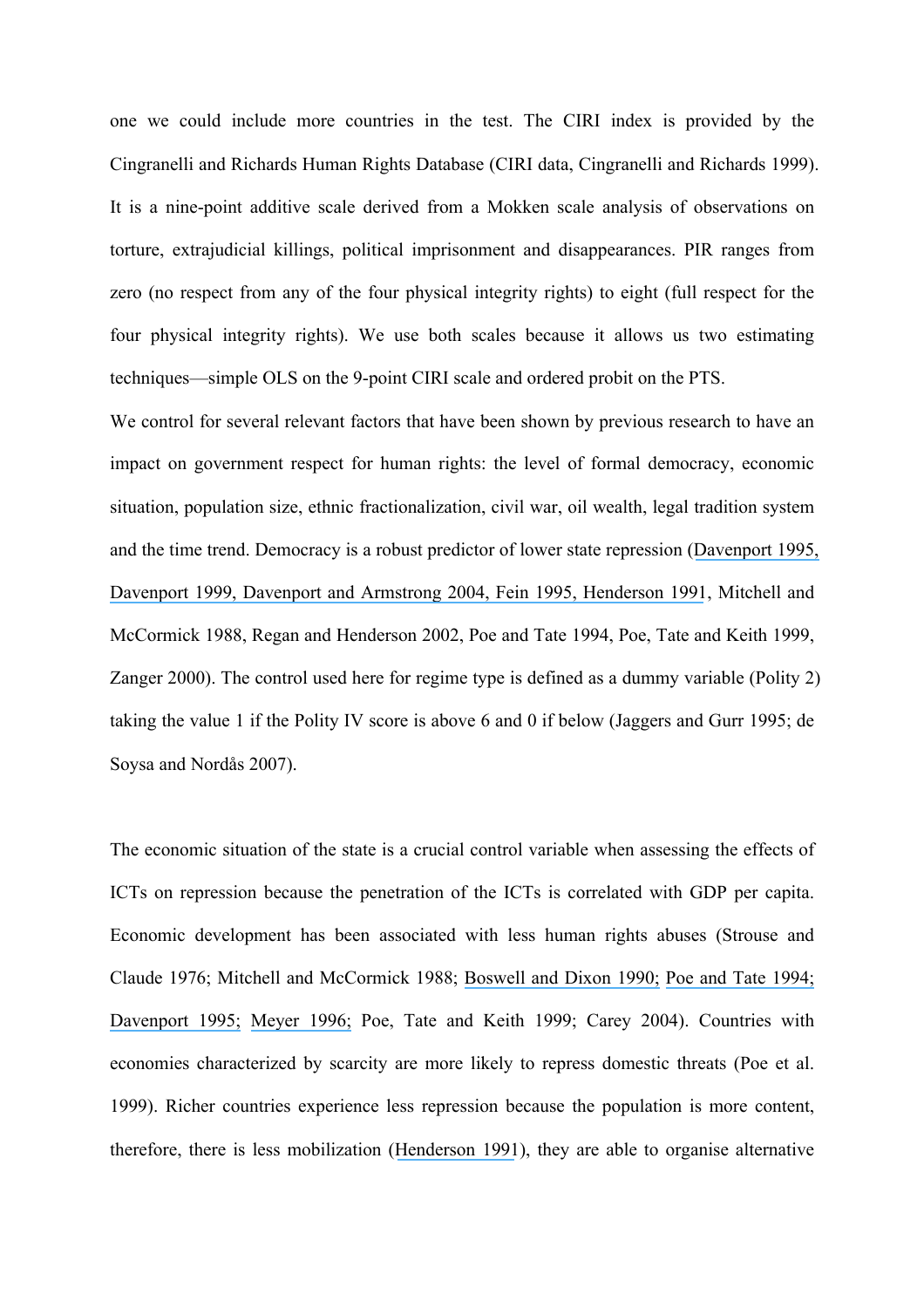one we could include more countries in the test. The CIRI index is provided by the Cingranelli and Richards Human Rights Database (CIRI data, Cingranelli and Richards 1999). It is a nine-point additive scale derived from a Mokken scale analysis of observations on torture, extrajudicial killings, political imprisonment and disappearances. PIR ranges from zero (no respect from any of the four physical integrity rights) to eight (full respect for the four physical integrity rights). We use both scales because it allows us two estimating techniques—simple OLS on the 9-point CIRI scale and ordered probit on the PTS.

We control for several relevant factors that have been shown by previous research to have an impact on government respect for human rights: the level of formal democracy, economic situation, population size, ethnic fractionalization, civil war, oil wealth, legal tradition system and the time trend. Democracy is a robust predictor of lower state repression ([Davenport 1995](https://www.researchgate.net/publication/246882363_Multi-Dimensional_Threat_Perception_and_State_Repression_An_Inquiry_Into_Why_States_Apply_Negative_Sanctions?el=1_x_8&enrichId=rgreq-036aead6e465d93385ea61af7c07e51e-XXX&enrichSource=Y292ZXJQYWdlOzI1NDg5MjUyOTtBUzoxMDY1MTc0ODMyMjkxODVAMTQwMjQwNzE1NjQ2MQ==)[,](https://www.researchgate.net/publication/246400726_Human_Rights_and_the_Democratic_Peace_Proposition?el=1_x_8&enrichId=rgreq-036aead6e465d93385ea61af7c07e51e-XXX&enrichSource=Y292ZXJQYWdlOzI1NDg5MjUyOTtBUzoxMDY1MTc0ODMyMjkxODVAMTQwMjQwNzE1NjQ2MQ==) [Davenport 1999](https://www.researchgate.net/publication/246400726_Human_Rights_and_the_Democratic_Peace_Proposition?el=1_x_8&enrichId=rgreq-036aead6e465d93385ea61af7c07e51e-XXX&enrichSource=Y292ZXJQYWdlOzI1NDg5MjUyOTtBUzoxMDY1MTc0ODMyMjkxODVAMTQwMjQwNzE1NjQ2MQ==)[, Davenport and Armstrong 2004](https://www.researchgate.net/publication/227523990_Democracy_and_the_Violation_of_Human_Rights_A_Statistical_Analysis_from_1976_to_1996?el=1_x_8&enrichId=rgreq-036aead6e465d93385ea61af7c07e51e-XXX&enrichSource=Y292ZXJQYWdlOzI1NDg5MjUyOTtBUzoxMDY1MTc0ODMyMjkxODVAMTQwMjQwNzE1NjQ2MQ==)[, Fein](https://www.researchgate.net/publication/265725475_Life-Integrity_Violations_and_Democracy_in_the_World_1987?el=1_x_8&enrichId=rgreq-036aead6e465d93385ea61af7c07e51e-XXX&enrichSource=Y292ZXJQYWdlOzI1NDg5MjUyOTtBUzoxMDY1MTc0ODMyMjkxODVAMTQwMjQwNzE1NjQ2MQ==) 199[5, Henderson 1991](https://www.researchgate.net/publication/258144994_Conditions_Affecting_the_Use_of_Political_Repression?el=1_x_8&enrichId=rgreq-036aead6e465d93385ea61af7c07e51e-XXX&enrichSource=Y292ZXJQYWdlOzI1NDg5MjUyOTtBUzoxMDY1MTc0ODMyMjkxODVAMTQwMjQwNzE1NjQ2MQ==), Mitchell and McCormick 1988, Regan and Henderson 2002, Poe and Tate 1994, Poe, Tate and Keith 1999, Zanger 2000). The control used here for regime type is defined as a dummy variable (Polity 2) taking the value 1 if the Polity IV score is above 6 and 0 if below (Jaggers and Gurr 1995; de Soysa and Nordås 2007).

The economic situation of the state is a crucial control variable when assessing the effects of ICTs on repression because the penetration of the ICTs is correlated with GDP per capita. Economic development has been associated with less human rights abuses (Strouse and Claude 1976; Mitchell and McCormick 1988; [Boswell and Dixon 1990;](https://www.researchgate.net/publication/245868246_Dependency_and_Rebellion_A_Cross-National_Analysis?el=1_x_8&enrichId=rgreq-036aead6e465d93385ea61af7c07e51e-XXX&enrichSource=Y292ZXJQYWdlOzI1NDg5MjUyOTtBUzoxMDY1MTc0ODMyMjkxODVAMTQwMjQwNzE1NjQ2MQ==) [Poe and Tate 1994;](https://www.researchgate.net/publication/247392889_Repression_of_Human_Rights_to_Personal_Integrity_in_the_1980s_A_Global_Analysis?el=1_x_8&enrichId=rgreq-036aead6e465d93385ea61af7c07e51e-XXX&enrichSource=Y292ZXJQYWdlOzI1NDg5MjUyOTtBUzoxMDY1MTc0ODMyMjkxODVAMTQwMjQwNzE1NjQ2MQ==) [Davenport 1995;](https://www.researchgate.net/publication/246882363_Multi-Dimensional_Threat_Perception_and_State_Repression_An_Inquiry_Into_Why_States_Apply_Negative_Sanctions?el=1_x_8&enrichId=rgreq-036aead6e465d93385ea61af7c07e51e-XXX&enrichSource=Y292ZXJQYWdlOzI1NDg5MjUyOTtBUzoxMDY1MTc0ODMyMjkxODVAMTQwMjQwNzE1NjQ2MQ==) [Meyer 1996;](https://www.researchgate.net/publication/236832917_Human_Rights_and_MNCs_Theory_Versus_Quantitative_Analysis?el=1_x_8&enrichId=rgreq-036aead6e465d93385ea61af7c07e51e-XXX&enrichSource=Y292ZXJQYWdlOzI1NDg5MjUyOTtBUzoxMDY1MTc0ODMyMjkxODVAMTQwMjQwNzE1NjQ2MQ==) Poe, Tate and Keith 1999; Carey 2004). Countries with economies characterized by scarcity are more likely to repress domestic threats (Poe et al. 1999). Richer countries experience less repression because the population is more content, therefore, there is less mobilization ([Henderson 1991](https://www.researchgate.net/publication/258144994_Conditions_Affecting_the_Use_of_Political_Repression?el=1_x_8&enrichId=rgreq-036aead6e465d93385ea61af7c07e51e-XXX&enrichSource=Y292ZXJQYWdlOzI1NDg5MjUyOTtBUzoxMDY1MTc0ODMyMjkxODVAMTQwMjQwNzE1NjQ2MQ==)), they are able to organise alternative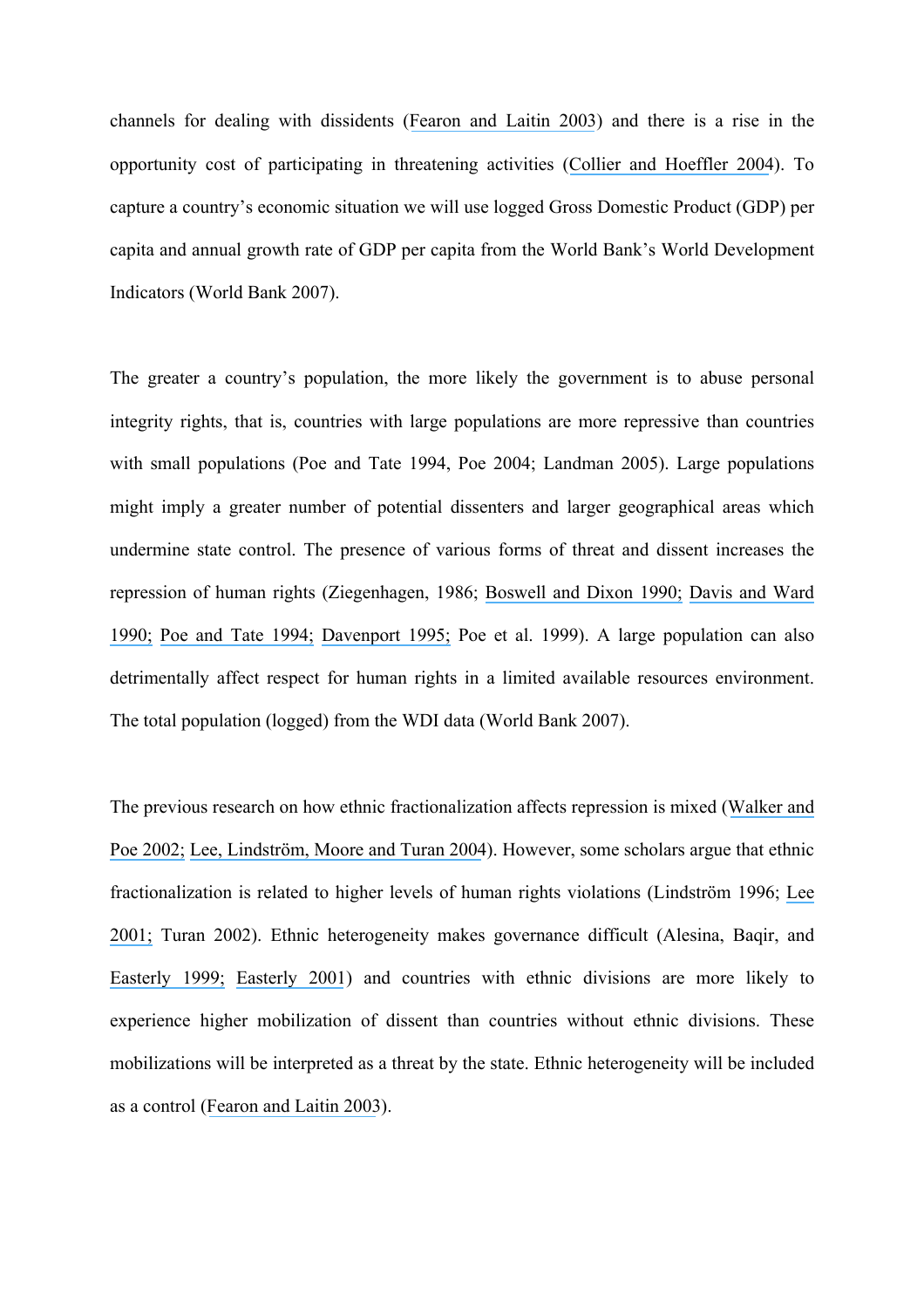channels for dealing with dissidents ([Fearon and Laitin 2003](https://www.researchgate.net/publication/2834579_Ethnicity_Insurgency_And_Civil_War?el=1_x_8&enrichId=rgreq-036aead6e465d93385ea61af7c07e51e-XXX&enrichSource=Y292ZXJQYWdlOzI1NDg5MjUyOTtBUzoxMDY1MTc0ODMyMjkxODVAMTQwMjQwNzE1NjQ2MQ==)) and there is a rise in the opportunity cost of participating in threatening activities ([Collier and Hoeffler 2004](https://www.researchgate.net/publication/2516276_Greed_and_Grievance_in_Civil_War?el=1_x_8&enrichId=rgreq-036aead6e465d93385ea61af7c07e51e-XXX&enrichSource=Y292ZXJQYWdlOzI1NDg5MjUyOTtBUzoxMDY1MTc0ODMyMjkxODVAMTQwMjQwNzE1NjQ2MQ==)). To capture a country's economic situation we will use logged Gross Domestic Product (GDP) per capita and annual growth rate of GDP per capita from the World Bank's World Development Indicators (World Bank 2007).

The greater a country's population, the more likely the government is to abuse personal integrity rights, that is, countries with large populations are more repressive than countries with small populations (Poe and Tate 1994, Poe 2004; Landman 2005). Large populations might imply a greater number of potential dissenters and larger geographical areas which undermine state control. The presence of various forms of threat and dissent increases the repression of human rights (Ziegenhagen, 1986; [Boswell and Dixon 1990;](https://www.researchgate.net/publication/245868246_Dependency_and_Rebellion_A_Cross-National_Analysis?el=1_x_8&enrichId=rgreq-036aead6e465d93385ea61af7c07e51e-XXX&enrichSource=Y292ZXJQYWdlOzI1NDg5MjUyOTtBUzoxMDY1MTc0ODMyMjkxODVAMTQwMjQwNzE1NjQ2MQ==) [Davis and Ward](https://www.researchgate.net/publication/258144992_They_Dance_Alone_Deaths_and_the_Disappeared_in_Contemporary_Chile?el=1_x_8&enrichId=rgreq-036aead6e465d93385ea61af7c07e51e-XXX&enrichSource=Y292ZXJQYWdlOzI1NDg5MjUyOTtBUzoxMDY1MTc0ODMyMjkxODVAMTQwMjQwNzE1NjQ2MQ==) [1990;](https://www.researchgate.net/publication/258144992_They_Dance_Alone_Deaths_and_the_Disappeared_in_Contemporary_Chile?el=1_x_8&enrichId=rgreq-036aead6e465d93385ea61af7c07e51e-XXX&enrichSource=Y292ZXJQYWdlOzI1NDg5MjUyOTtBUzoxMDY1MTc0ODMyMjkxODVAMTQwMjQwNzE1NjQ2MQ==) [Poe and Tate 1994;](https://www.researchgate.net/publication/247392889_Repression_of_Human_Rights_to_Personal_Integrity_in_the_1980s_A_Global_Analysis?el=1_x_8&enrichId=rgreq-036aead6e465d93385ea61af7c07e51e-XXX&enrichSource=Y292ZXJQYWdlOzI1NDg5MjUyOTtBUzoxMDY1MTc0ODMyMjkxODVAMTQwMjQwNzE1NjQ2MQ==) [Davenport 1995;](https://www.researchgate.net/publication/246882363_Multi-Dimensional_Threat_Perception_and_State_Repression_An_Inquiry_Into_Why_States_Apply_Negative_Sanctions?el=1_x_8&enrichId=rgreq-036aead6e465d93385ea61af7c07e51e-XXX&enrichSource=Y292ZXJQYWdlOzI1NDg5MjUyOTtBUzoxMDY1MTc0ODMyMjkxODVAMTQwMjQwNzE1NjQ2MQ==) Poe et al. 1999). A large population can also detrimentally affect respect for human rights in a limited available resources environment. The total population (logged) from the WDI data (World Bank 2007).

The previous research on how ethnic fractionalization affects repression is mixed ([Walker and](https://www.researchgate.net/publication/236806051_Does_Cultural_Diversity_Affect_Countries) [Poe 2002;](https://www.researchgate.net/publication/236806051_Does_Cultural_Diversity_Affect_Countries) [Lee, Lindström, Moore and Turan 2004](https://www.researchgate.net/publication/228487250_Ethnicity_and_repression_the_ethnic_composition_of_countries_and_human_rights_violations?el=1_x_8&enrichId=rgreq-036aead6e465d93385ea61af7c07e51e-XXX&enrichSource=Y292ZXJQYWdlOzI1NDg5MjUyOTtBUzoxMDY1MTc0ODMyMjkxODVAMTQwMjQwNzE1NjQ2MQ==)). However, some scholars argue that ethnic fractionalization is related to higher levels of human rights violations (Lindström 1996; [Lee](https://www.researchgate.net/publication/33791702_Protest_and_repression_in_Latin_America_a_synthetic_model?el=1_x_8&enrichId=rgreq-036aead6e465d93385ea61af7c07e51e-XXX&enrichSource=Y292ZXJQYWdlOzI1NDg5MjUyOTtBUzoxMDY1MTc0ODMyMjkxODVAMTQwMjQwNzE1NjQ2MQ==) [2001;](https://www.researchgate.net/publication/33791702_Protest_and_repression_in_Latin_America_a_synthetic_model?el=1_x_8&enrichId=rgreq-036aead6e465d93385ea61af7c07e51e-XXX&enrichSource=Y292ZXJQYWdlOzI1NDg5MjUyOTtBUzoxMDY1MTc0ODMyMjkxODVAMTQwMjQwNzE1NjQ2MQ==) Turan 2002). Ethnic heterogeneity makes governance difficult (Alesina, Baqir, and [Easterly 1999;](https://www.researchgate.net/publication/24091676_Public_Goods_And_Ethnic_Divisions?el=1_x_8&enrichId=rgreq-036aead6e465d93385ea61af7c07e51e-XXX&enrichSource=Y292ZXJQYWdlOzI1NDg5MjUyOTtBUzoxMDY1MTc0ODMyMjkxODVAMTQwMjQwNzE1NjQ2MQ==) [Easterly 2001](https://www.researchgate.net/publication/24097951_Can_Institutions_Resolve_Ethnic_Conflict?el=1_x_8&enrichId=rgreq-036aead6e465d93385ea61af7c07e51e-XXX&enrichSource=Y292ZXJQYWdlOzI1NDg5MjUyOTtBUzoxMDY1MTc0ODMyMjkxODVAMTQwMjQwNzE1NjQ2MQ==)) and countries with ethnic divisions are more likely to experience higher mobilization of dissent than countries without ethnic divisions. These mobilizations will be interpreted as a threat by the state. Ethnic heterogeneity will be included as a control ([Fearon and Laitin 2003](https://www.researchgate.net/publication/2834579_Ethnicity_Insurgency_And_Civil_War?el=1_x_8&enrichId=rgreq-036aead6e465d93385ea61af7c07e51e-XXX&enrichSource=Y292ZXJQYWdlOzI1NDg5MjUyOTtBUzoxMDY1MTc0ODMyMjkxODVAMTQwMjQwNzE1NjQ2MQ==)).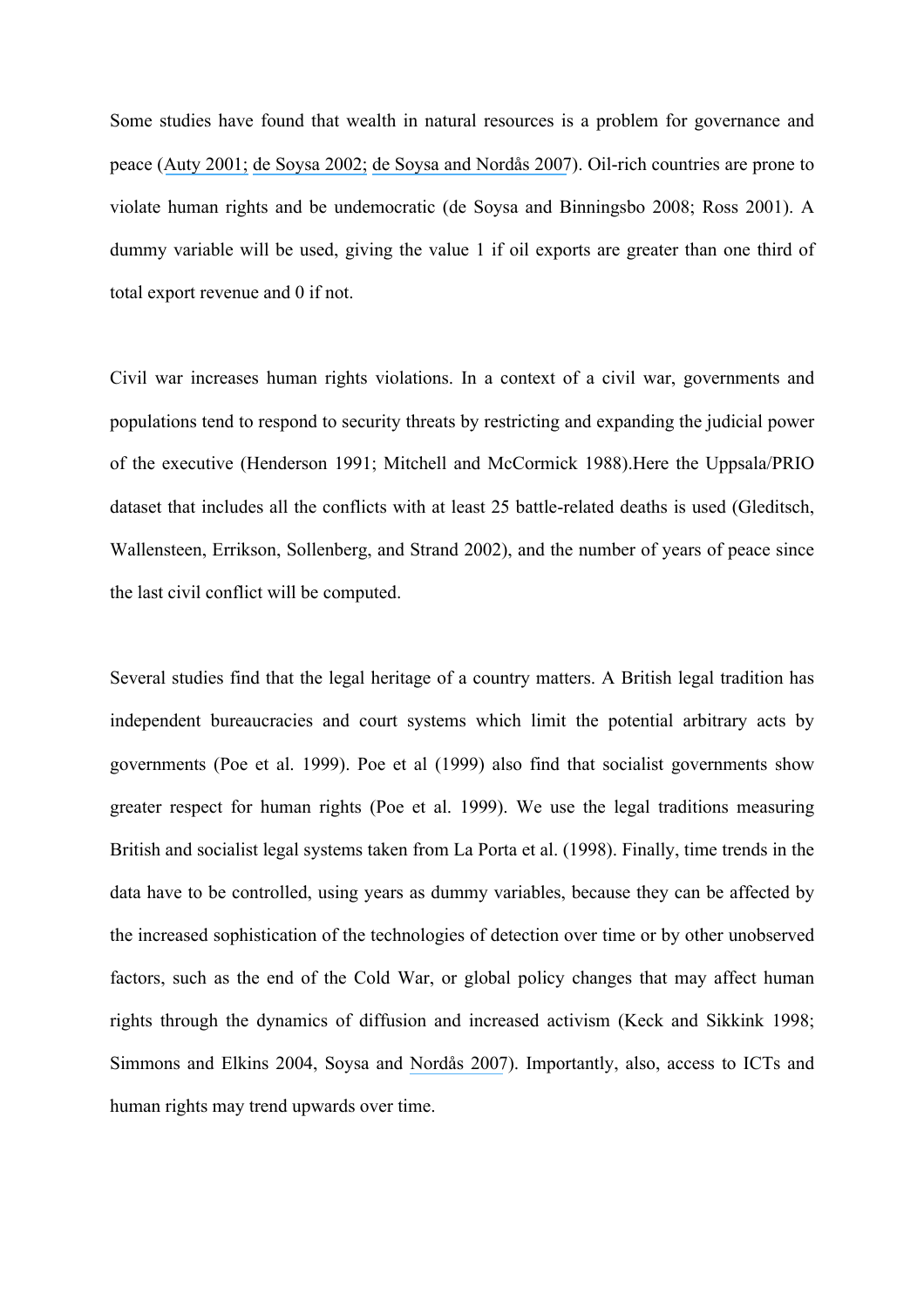Some studies have found that wealth in natural resources is a problem for governance and peace ([Auty 2001;](https://www.researchgate.net/publication/235737405_Resource_Abundance_and_Economic_Development?el=1_x_8&enrichId=rgreq-036aead6e465d93385ea61af7c07e51e-XXX&enrichSource=Y292ZXJQYWdlOzI1NDg5MjUyOTtBUzoxMDY1MTc0ODMyMjkxODVAMTQwMjQwNzE1NjQ2MQ==) [de Soysa 2002;](https://www.researchgate.net/publication/249706249_Paradise_is_a_Bazaar_Greed_Creed_and_Governance_in_Civil_War_1989-99?el=1_x_8&enrichId=rgreq-036aead6e465d93385ea61af7c07e51e-XXX&enrichSource=Y292ZXJQYWdlOzI1NDg5MjUyOTtBUzoxMDY1MTc0ODMyMjkxODVAMTQwMjQwNzE1NjQ2MQ==) [de Soysa and Nordås 2007](https://www.researchgate.net/publication/227539744_Islam)). Oil-rich countries are prone to violate human rights and be undemocratic (de Soysa and Binningsbo 2008; Ross 2001). A dummy variable will be used, giving the value 1 if oil exports are greater than one third of total export revenue and 0 if not.

Civil war increases human rights violations. In a context of a civil war, governments and populations tend to respond to security threats by restricting and expanding the judicial power of the executive (Henderson 1991; Mitchell and McCormick 1988).Here the Uppsala/PRIO dataset that includes all the conflicts with at least 25 battle-related deaths is used (Gleditsch, Wallensteen, Errikson, Sollenberg, and Strand 2002), and the number of years of peace since the last civil conflict will be computed.

Several studies find that the legal heritage of a country matters. A British legal tradition has independent bureaucracies and court systems which limit the potential arbitrary acts by governments (Poe et al. 1999). Poe et al (1999) also find that socialist governments show greater respect for human rights (Poe et al. 1999). We use the legal traditions measuring British and socialist legal systems taken from La Porta et al. (1998). Finally, time trends in the data have to be controlled, using years as dummy variables, because they can be affected by the increased sophistication of the technologies of detection over time or by other unobserved factors, such as the end of the Cold War, or global policy changes that may affect human rights through the dynamics of diffusion and increased activism (Keck and Sikkink 1998; Simmons and Elkins 2004, Soysa and [Nordås 2007](https://www.researchgate.net/publication/227539744_Islam)). Importantly, also, access to ICTs and human rights may trend upwards over time.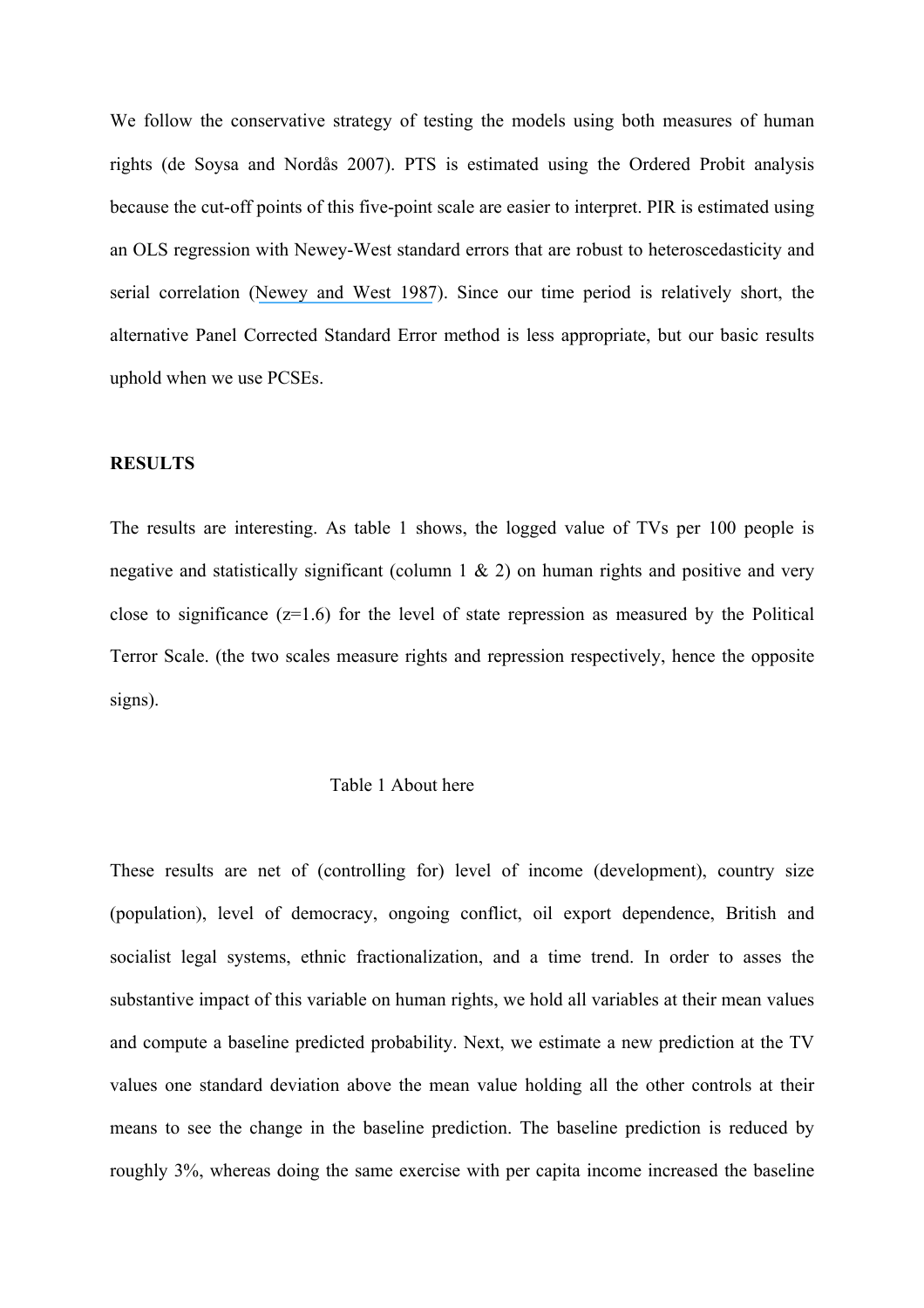We follow the conservative strategy of testing the models using both measures of human rights (de Soysa and Nordås 2007). PTS is estimated using the Ordered Probit analysis because the cut-off points of this five-point scale are easier to interpret. PIR is estimated using an OLS regression with Newey-West standard errors that are robust to heteroscedasticity and serial correlation ([Newey and West 1987](https://www.researchgate.net/publication/4897990_A_Simple_Positive_Semi-Definite_Heteroskedasticity_and_Autocorrelation_Consistent_Covariance_Matrix?el=1_x_8&enrichId=rgreq-036aead6e465d93385ea61af7c07e51e-XXX&enrichSource=Y292ZXJQYWdlOzI1NDg5MjUyOTtBUzoxMDY1MTc0ODMyMjkxODVAMTQwMjQwNzE1NjQ2MQ==)). Since our time period is relatively short, the alternative Panel Corrected Standard Error method is less appropriate, but our basic results uphold when we use PCSEs.

### **RESULTS**

The results are interesting. As table 1 shows, the logged value of TVs per 100 people is negative and statistically significant (column  $1 \& 2$ ) on human rights and positive and very close to significance  $(z=1.6)$  for the level of state repression as measured by the Political Terror Scale. (the two scales measure rights and repression respectively, hence the opposite signs).

#### Table 1 About here

These results are net of (controlling for) level of income (development), country size (population), level of democracy, ongoing conflict, oil export dependence, British and socialist legal systems, ethnic fractionalization, and a time trend. In order to asses the substantive impact of this variable on human rights, we hold all variables at their mean values and compute a baseline predicted probability. Next, we estimate a new prediction at the TV values one standard deviation above the mean value holding all the other controls at their means to see the change in the baseline prediction. The baseline prediction is reduced by roughly 3%, whereas doing the same exercise with per capita income increased the baseline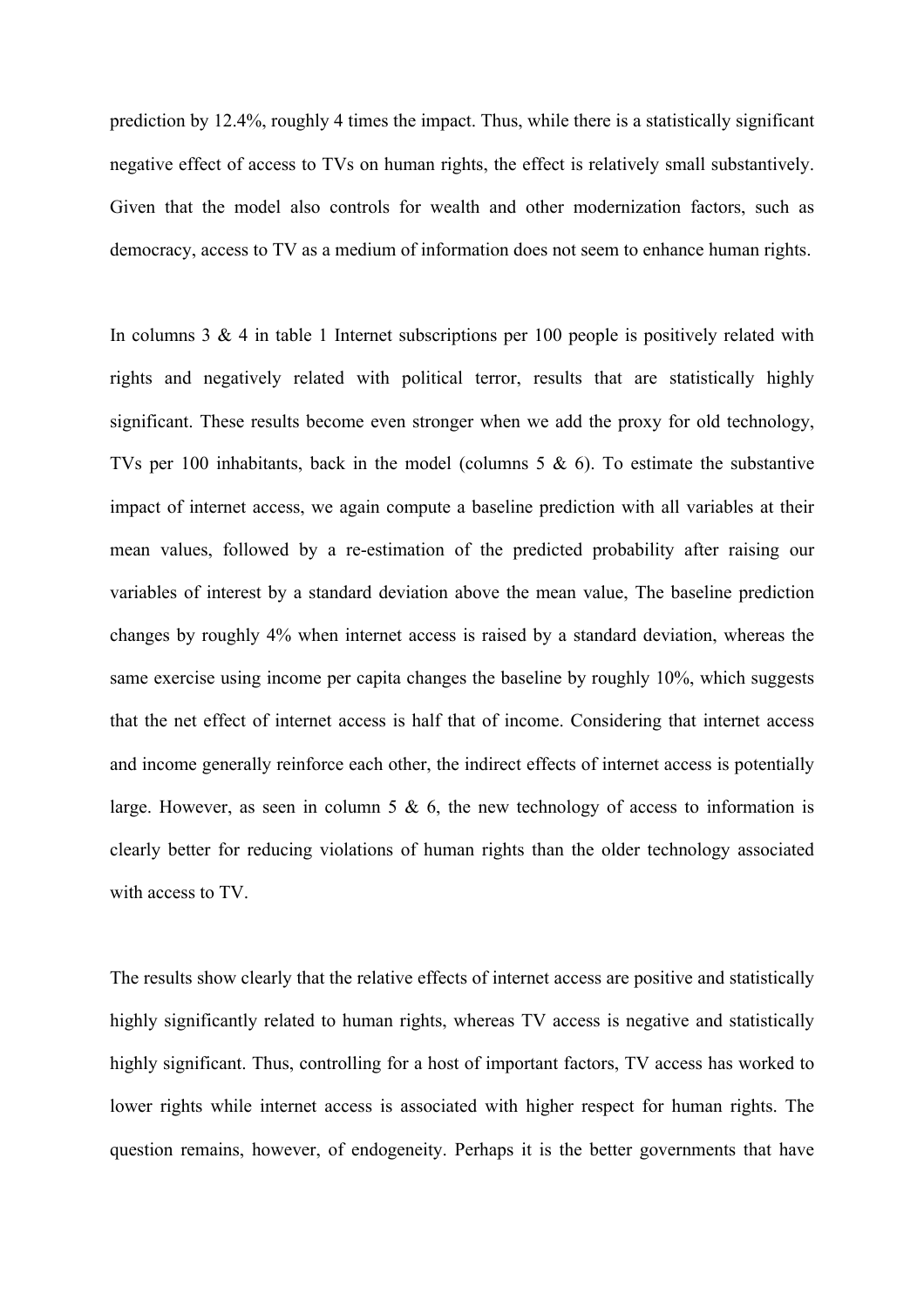prediction by 12.4%, roughly 4 times the impact. Thus, while there is a statistically significant negative effect of access to TVs on human rights, the effect is relatively small substantively. Given that the model also controls for wealth and other modernization factors, such as democracy, access to TV as a medium of information does not seem to enhance human rights.

In columns  $3 \& 4$  in table 1 Internet subscriptions per 100 people is positively related with rights and negatively related with political terror, results that are statistically highly significant. These results become even stronger when we add the proxy for old technology, TVs per 100 inhabitants, back in the model (columns  $5 \& 6$ ). To estimate the substantive impact of internet access, we again compute a baseline prediction with all variables at their mean values, followed by a re-estimation of the predicted probability after raising our variables of interest by a standard deviation above the mean value, The baseline prediction changes by roughly 4% when internet access is raised by a standard deviation, whereas the same exercise using income per capita changes the baseline by roughly 10%, which suggests that the net effect of internet access is half that of income. Considering that internet access and income generally reinforce each other, the indirect effects of internet access is potentially large. However, as seen in column 5  $\&$  6, the new technology of access to information is clearly better for reducing violations of human rights than the older technology associated with access to TV.

The results show clearly that the relative effects of internet access are positive and statistically highly significantly related to human rights, whereas TV access is negative and statistically highly significant. Thus, controlling for a host of important factors. TV access has worked to lower rights while internet access is associated with higher respect for human rights. The question remains, however, of endogeneity. Perhaps it is the better governments that have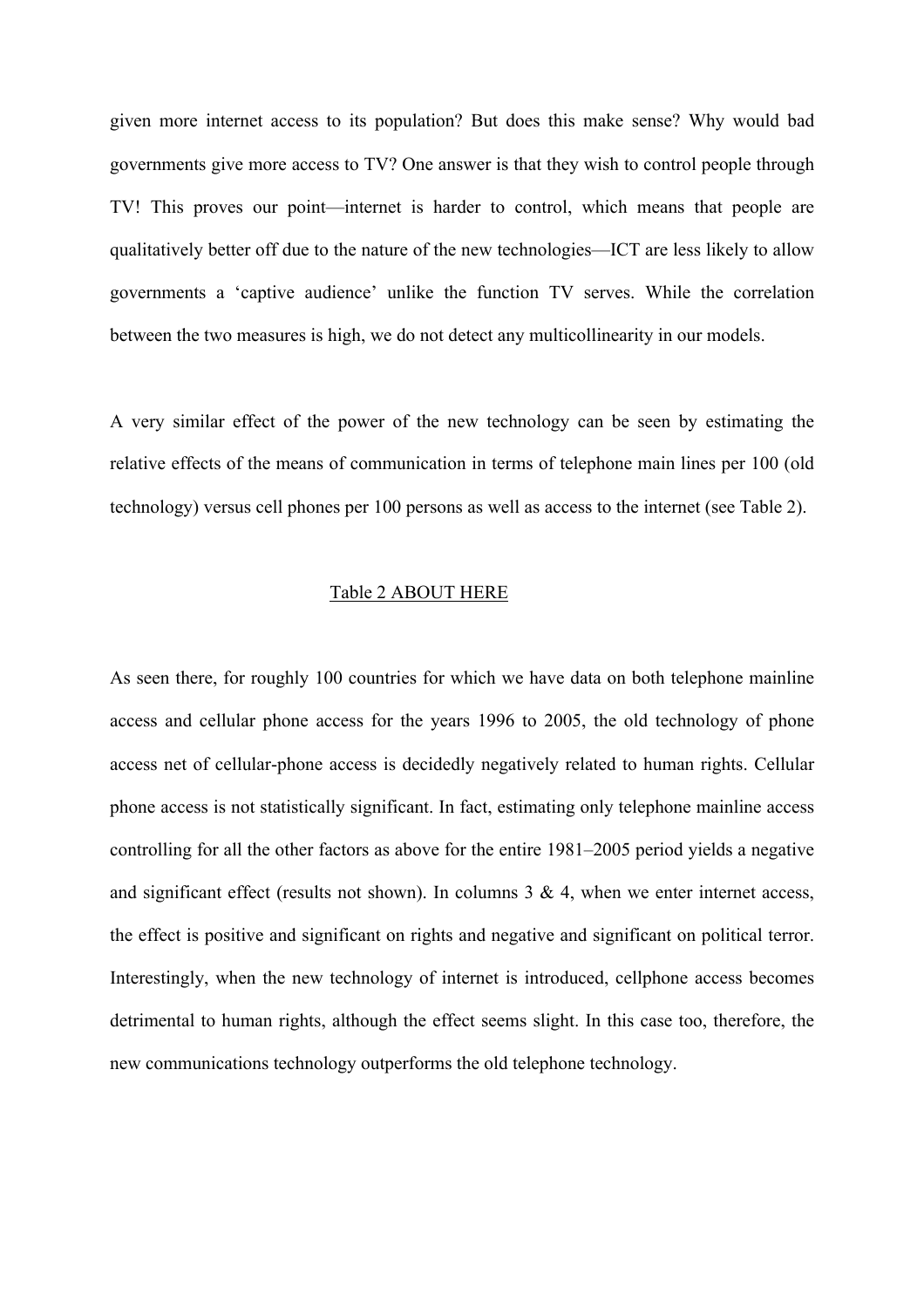given more internet access to its population? But does this make sense? Why would bad governments give more access to TV? One answer is that they wish to control people through TV! This proves our point—internet is harder to control, which means that people are qualitatively better off due to the nature of the new technologies—ICT are less likely to allow governments a 'captive audience' unlike the function TV serves. While the correlation between the two measures is high, we do not detect any multicollinearity in our models.

A very similar effect of the power of the new technology can be seen by estimating the relative effects of the means of communication in terms of telephone main lines per 100 (old technology) versus cell phones per 100 persons as well as access to the internet (see Table 2).

#### Table 2 ABOUT HERE

As seen there, for roughly 100 countries for which we have data on both telephone mainline access and cellular phone access for the years 1996 to 2005, the old technology of phone access net of cellular-phone access is decidedly negatively related to human rights. Cellular phone access is not statistically significant. In fact, estimating only telephone mainline access controlling for all the other factors as above for the entire 1981–2005 period yields a negative and significant effect (results not shown). In columns  $3 \& 4$ , when we enter internet access, the effect is positive and significant on rights and negative and significant on political terror. Interestingly, when the new technology of internet is introduced, cellphone access becomes detrimental to human rights, although the effect seems slight. In this case too, therefore, the new communications technology outperforms the old telephone technology.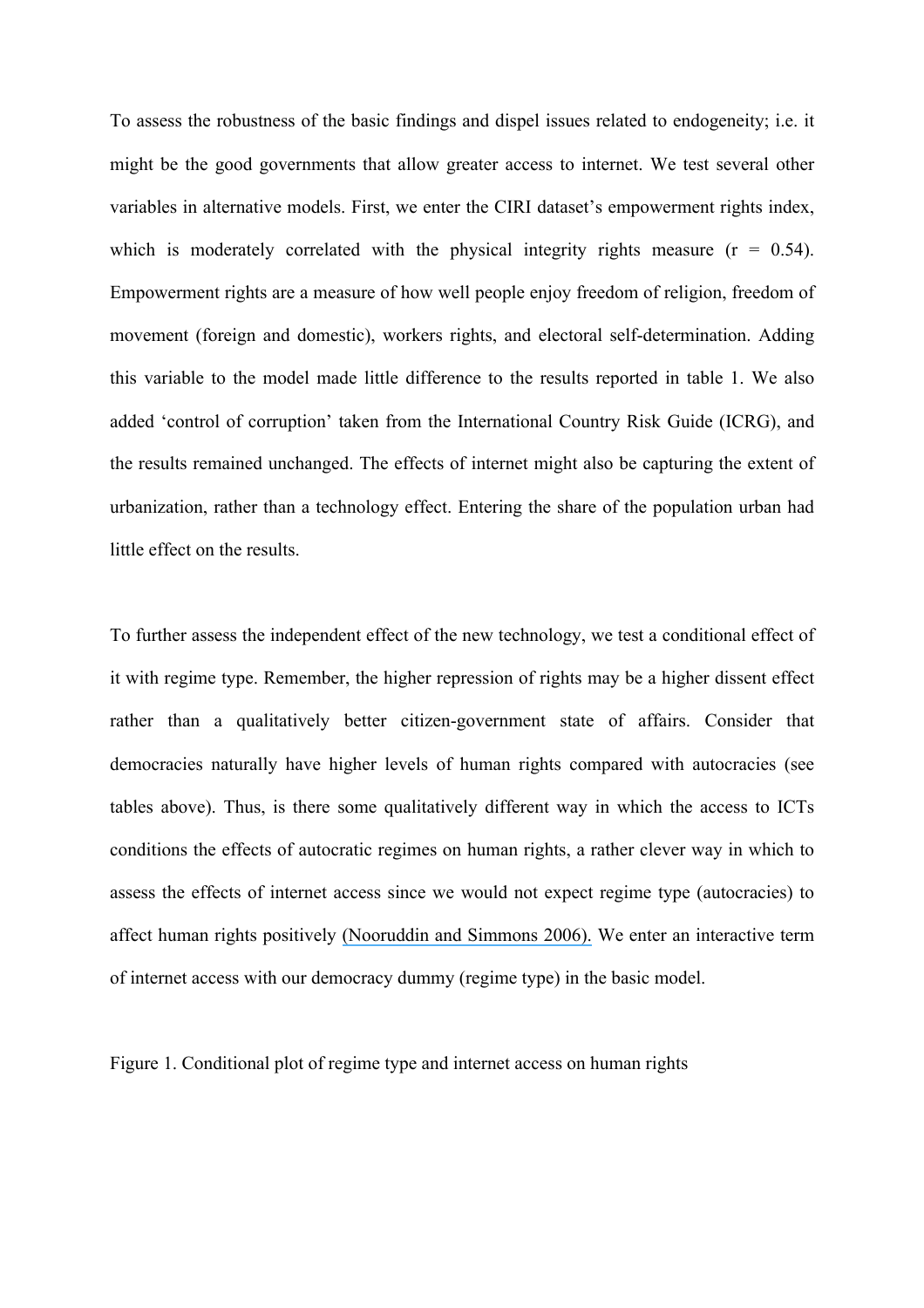To assess the robustness of the basic findings and dispel issues related to endogeneity; i.e. it might be the good governments that allow greater access to internet. We test several other variables in alternative models. First, we enter the CIRI dataset's empowerment rights index, which is moderately correlated with the physical integrity rights measure  $(r = 0.54)$ . Empowerment rights are a measure of how well people enjoy freedom of religion, freedom of movement (foreign and domestic), workers rights, and electoral self-determination. Adding this variable to the model made little difference to the results reported in table 1. We also added 'control of corruption' taken from the International Country Risk Guide (ICRG), and the results remained unchanged. The effects of internet might also be capturing the extent of urbanization, rather than a technology effect. Entering the share of the population urban had little effect on the results.

To further assess the independent effect of the new technology, we test a conditional effect of it with regime type. Remember, the higher repression of rights may be a higher dissent effect rather than a qualitatively better citizen-government state of affairs. Consider that democracies naturally have higher levels of human rights compared with autocracies (see tables above). Thus, is there some qualitatively different way in which the access to ICTs conditions the effects of autocratic regimes on human rights, a rather clever way in which to assess the effects of internet access since we would not expect regime type (autocracies) to affect human rights positively [\(Nooruddin and Simmons 2006\).](https://www.researchgate.net/publication/4771017_The_Politics_of_Hard_Choices_IMF_Programs_and_Government_Spending?el=1_x_8&enrichId=rgreq-036aead6e465d93385ea61af7c07e51e-XXX&enrichSource=Y292ZXJQYWdlOzI1NDg5MjUyOTtBUzoxMDY1MTc0ODMyMjkxODVAMTQwMjQwNzE1NjQ2MQ==) We enter an interactive term of internet access with our democracy dummy (regime type) in the basic model.

Figure 1. Conditional plot of regime type and internet access on human rights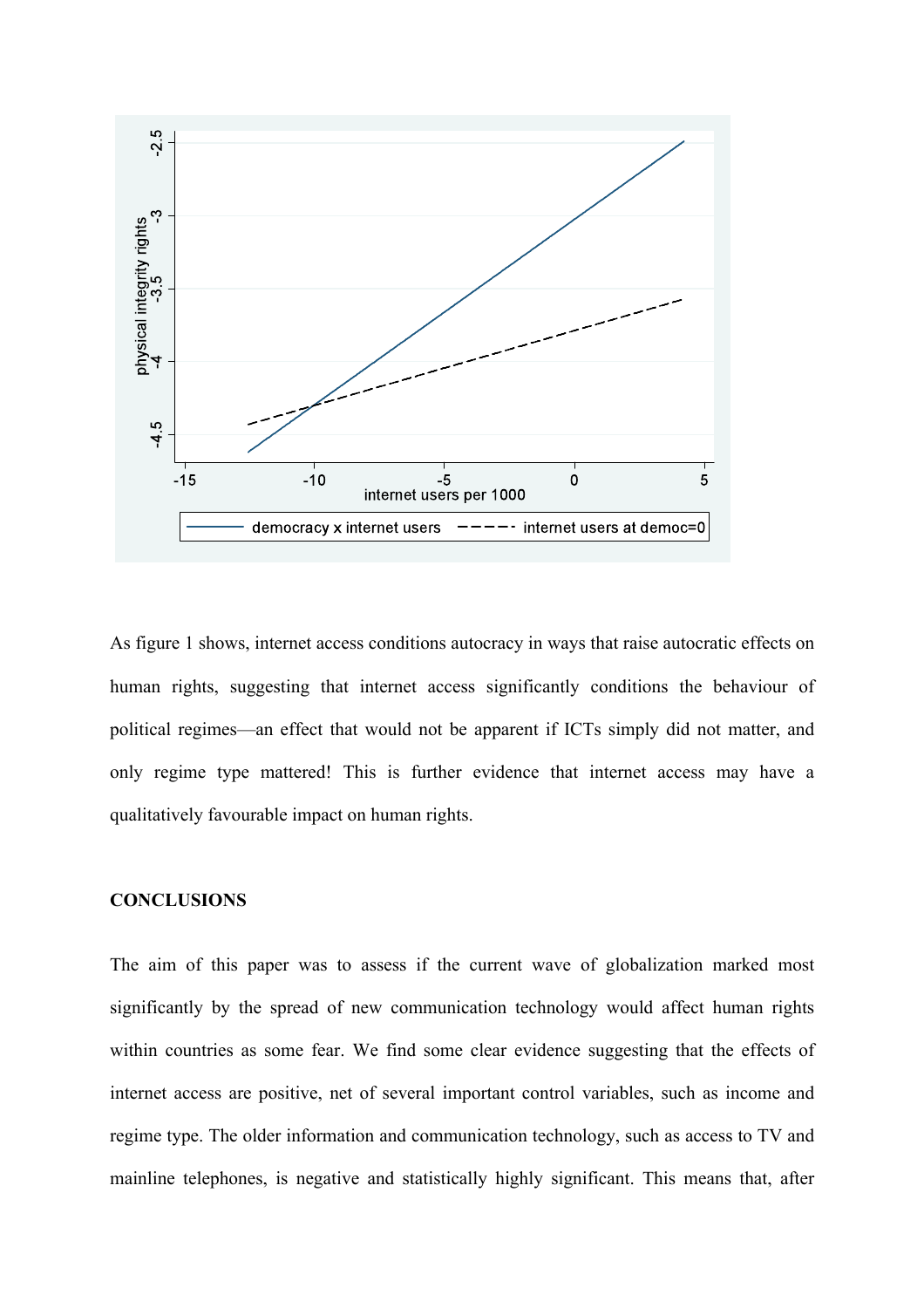

As figure 1 shows, internet access conditions autocracy in ways that raise autocratic effects on human rights, suggesting that internet access significantly conditions the behaviour of political regimes—an effect that would not be apparent if ICTs simply did not matter, and only regime type mattered! This is further evidence that internet access may have a qualitatively favourable impact on human rights.

## **CONCLUSIONS**

The aim of this paper was to assess if the current wave of globalization marked most significantly by the spread of new communication technology would affect human rights within countries as some fear. We find some clear evidence suggesting that the effects of internet access are positive, net of several important control variables, such as income and regime type. The older information and communication technology, such as access to TV and mainline telephones, is negative and statistically highly significant. This means that, after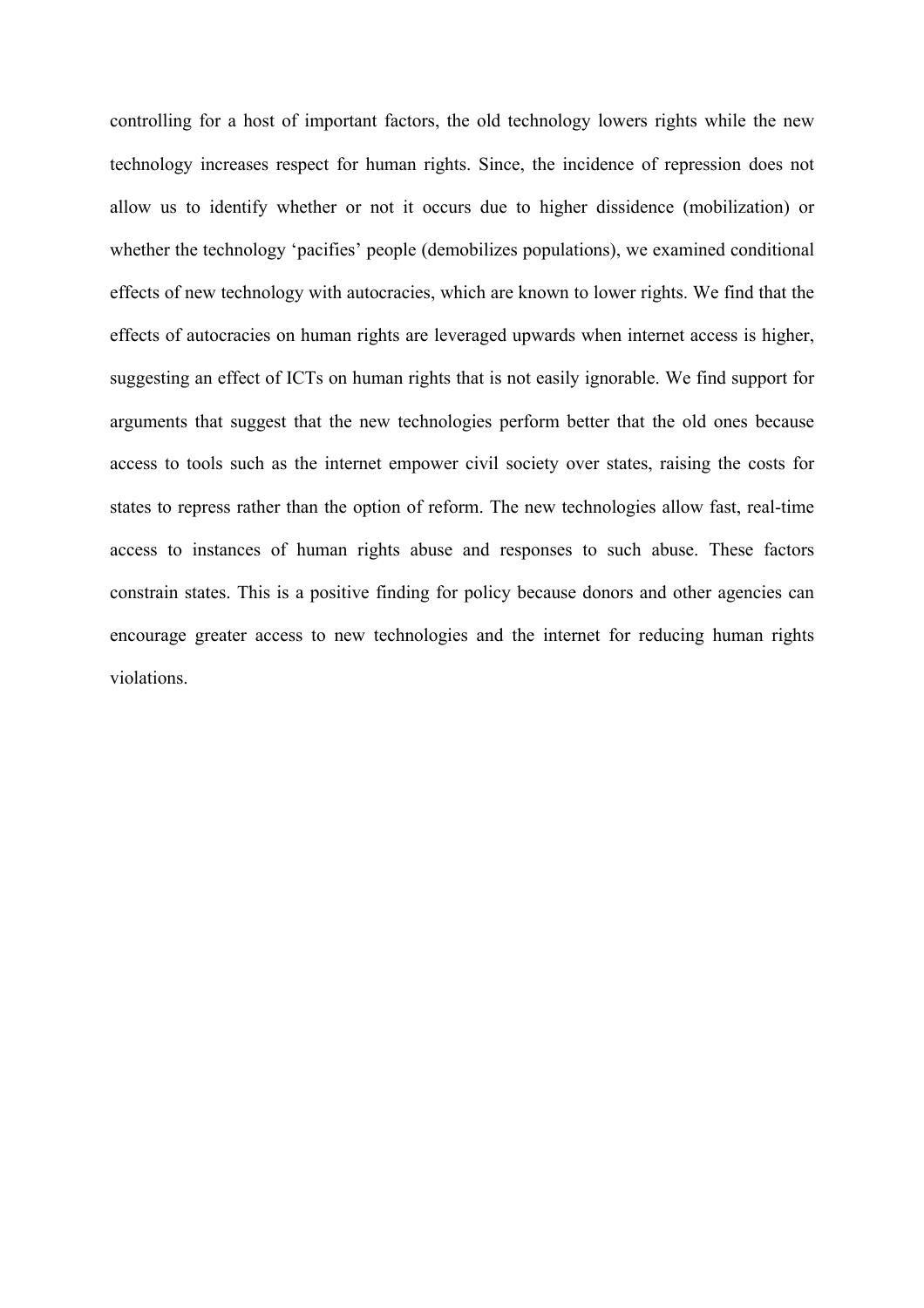controlling for a host of important factors, the old technology lowers rights while the new technology increases respect for human rights. Since, the incidence of repression does not allow us to identify whether or not it occurs due to higher dissidence (mobilization) or whether the technology 'pacifies' people (demobilizes populations), we examined conditional effects of new technology with autocracies, which are known to lower rights. We find that the effects of autocracies on human rights are leveraged upwards when internet access is higher, suggesting an effect of ICTs on human rights that is not easily ignorable. We find support for arguments that suggest that the new technologies perform better that the old ones because access to tools such as the internet empower civil society over states, raising the costs for states to repress rather than the option of reform. The new technologies allow fast, real-time access to instances of human rights abuse and responses to such abuse. These factors constrain states. This is a positive finding for policy because donors and other agencies can encourage greater access to new technologies and the internet for reducing human rights violations.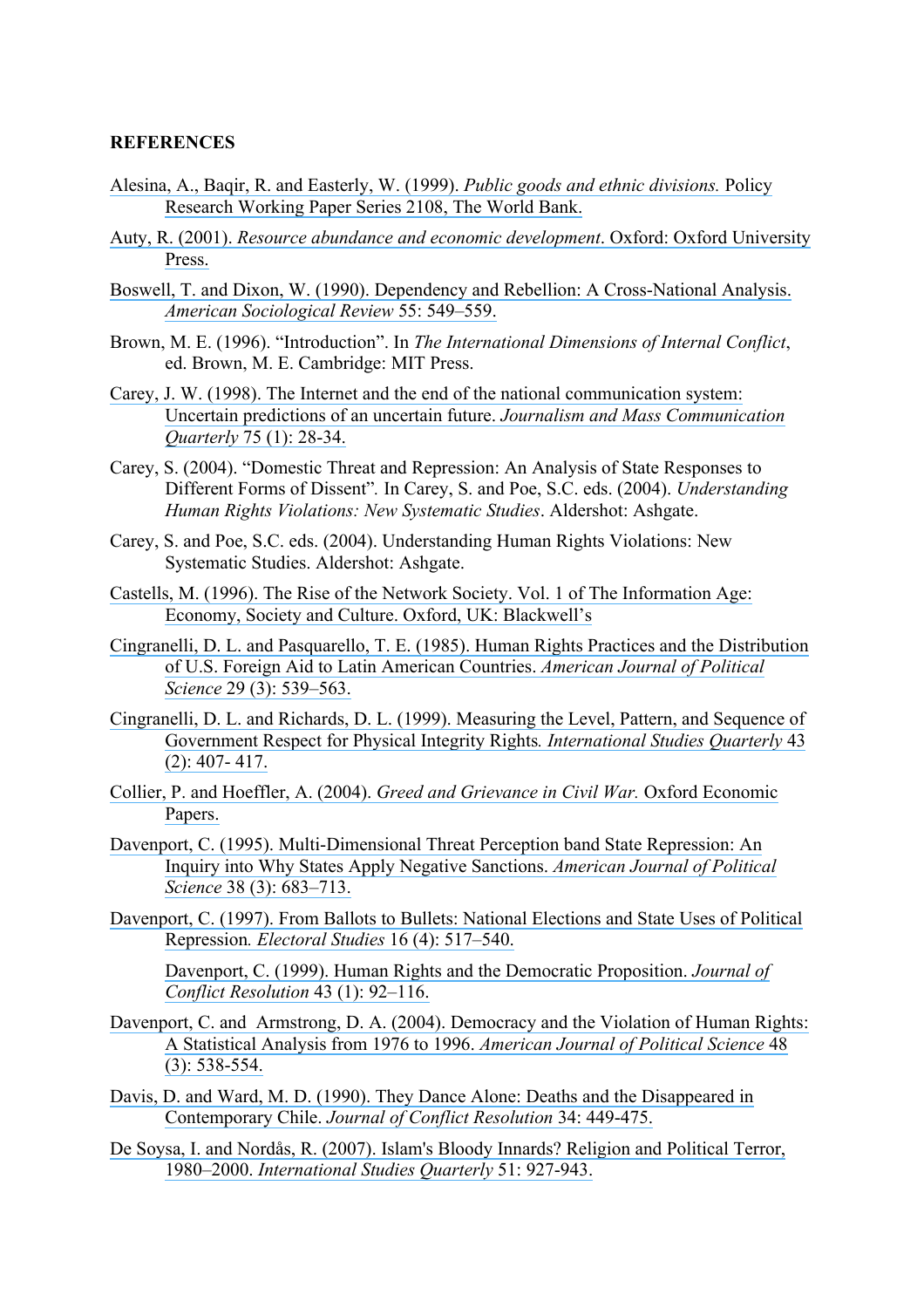### **REFERENCES**

- [Alesina, A., Baqir, R. and Easterly, W. \(1999\).](https://www.researchgate.net/publication/24091676_Public_Goods_And_Ethnic_Divisions?el=1_x_8&enrichId=rgreq-036aead6e465d93385ea61af7c07e51e-XXX&enrichSource=Y292ZXJQYWdlOzI1NDg5MjUyOTtBUzoxMDY1MTc0ODMyMjkxODVAMTQwMjQwNzE1NjQ2MQ==) *Public goods and ethnic divisions.* Policy [Research Working Paper Series 2108, The World Bank.](https://www.researchgate.net/publication/24091676_Public_Goods_And_Ethnic_Divisions?el=1_x_8&enrichId=rgreq-036aead6e465d93385ea61af7c07e51e-XXX&enrichSource=Y292ZXJQYWdlOzI1NDg5MjUyOTtBUzoxMDY1MTc0ODMyMjkxODVAMTQwMjQwNzE1NjQ2MQ==)
- Auty, R. (2001). *[Resource abundance and economic development](https://www.researchgate.net/publication/235737405_Resource_Abundance_and_Economic_Development?el=1_x_8&enrichId=rgreq-036aead6e465d93385ea61af7c07e51e-XXX&enrichSource=Y292ZXJQYWdlOzI1NDg5MjUyOTtBUzoxMDY1MTc0ODMyMjkxODVAMTQwMjQwNzE1NjQ2MQ==)*. Oxford: Oxford University [Press.](https://www.researchgate.net/publication/235737405_Resource_Abundance_and_Economic_Development?el=1_x_8&enrichId=rgreq-036aead6e465d93385ea61af7c07e51e-XXX&enrichSource=Y292ZXJQYWdlOzI1NDg5MjUyOTtBUzoxMDY1MTc0ODMyMjkxODVAMTQwMjQwNzE1NjQ2MQ==)
- [Boswell, T. and Dixon, W. \(1990\). Dependency and Rebellion: A Cross-National Analysis.](https://www.researchgate.net/publication/245868246_Dependency_and_Rebellion_A_Cross-National_Analysis?el=1_x_8&enrichId=rgreq-036aead6e465d93385ea61af7c07e51e-XXX&enrichSource=Y292ZXJQYWdlOzI1NDg5MjUyOTtBUzoxMDY1MTc0ODMyMjkxODVAMTQwMjQwNzE1NjQ2MQ==) *[American Sociological Review](https://www.researchgate.net/publication/245868246_Dependency_and_Rebellion_A_Cross-National_Analysis?el=1_x_8&enrichId=rgreq-036aead6e465d93385ea61af7c07e51e-XXX&enrichSource=Y292ZXJQYWdlOzI1NDg5MjUyOTtBUzoxMDY1MTc0ODMyMjkxODVAMTQwMjQwNzE1NjQ2MQ==)* 55: 549–559.
- Brown, M. E. (1996). "Introduction". In *The International Dimensions of Internal Conflict*, ed. Brown, M. E. Cambridge: MIT Press.
- [Carey, J. W. \(1998\). The Internet and the end of the national communication system:](https://www.researchgate.net/publication/254120096_The_Internet_and_the_End_of_the_National_Communication_System_Uncertain_Predictions_of_an_Uncertain_Future?el=1_x_8&enrichId=rgreq-036aead6e465d93385ea61af7c07e51e-XXX&enrichSource=Y292ZXJQYWdlOzI1NDg5MjUyOTtBUzoxMDY1MTc0ODMyMjkxODVAMTQwMjQwNzE1NjQ2MQ==) [Uncertain predictions of an uncertain future.](https://www.researchgate.net/publication/254120096_The_Internet_and_the_End_of_the_National_Communication_System_Uncertain_Predictions_of_an_Uncertain_Future?el=1_x_8&enrichId=rgreq-036aead6e465d93385ea61af7c07e51e-XXX&enrichSource=Y292ZXJQYWdlOzI1NDg5MjUyOTtBUzoxMDY1MTc0ODMyMjkxODVAMTQwMjQwNzE1NjQ2MQ==) *Journalism and Mass Communication Quarterly* [75 \(1\): 28-34.](https://www.researchgate.net/publication/254120096_The_Internet_and_the_End_of_the_National_Communication_System_Uncertain_Predictions_of_an_Uncertain_Future?el=1_x_8&enrichId=rgreq-036aead6e465d93385ea61af7c07e51e-XXX&enrichSource=Y292ZXJQYWdlOzI1NDg5MjUyOTtBUzoxMDY1MTc0ODMyMjkxODVAMTQwMjQwNzE1NjQ2MQ==)
- Carey, S. (2004). "Domestic Threat and Repression: An Analysis of State Responses to Different Forms of Dissent"*.* In Carey, S. and Poe, S.C. eds. (2004). *Understanding Human Rights Violations: New Systematic Studies*. Aldershot: Ashgate.
- Carey, S. and Poe, S.C. eds. (2004). Understanding Human Rights Violations: New Systematic Studies. Aldershot: Ashgate.
- [Castells, M. \(1996\). The Rise of the Network Society. Vol. 1 of The Information Age:](https://www.researchgate.net/publication/274542628_The_Rise_of_the_Network_Society_The_Information_Age_Economy_Society_and_Culture_Vol_I?el=1_x_8&enrichId=rgreq-036aead6e465d93385ea61af7c07e51e-XXX&enrichSource=Y292ZXJQYWdlOzI1NDg5MjUyOTtBUzoxMDY1MTc0ODMyMjkxODVAMTQwMjQwNzE1NjQ2MQ==) [Economy, Society and Culture. Oxford, UK: Blackwell's](https://www.researchgate.net/publication/274542628_The_Rise_of_the_Network_Society_The_Information_Age_Economy_Society_and_Culture_Vol_I?el=1_x_8&enrichId=rgreq-036aead6e465d93385ea61af7c07e51e-XXX&enrichSource=Y292ZXJQYWdlOzI1NDg5MjUyOTtBUzoxMDY1MTc0ODMyMjkxODVAMTQwMjQwNzE1NjQ2MQ==)
- [Cingranelli, D. L. and Pasquarello, T. E. \(1985\). Human Rights Practices and the Distribution](https://www.researchgate.net/publication/246400174_Human_Rights_Practices_and_the_Distribution_of_US_Foreign_Aid_to_Latin_American_Countries?el=1_x_8&enrichId=rgreq-036aead6e465d93385ea61af7c07e51e-XXX&enrichSource=Y292ZXJQYWdlOzI1NDg5MjUyOTtBUzoxMDY1MTc0ODMyMjkxODVAMTQwMjQwNzE1NjQ2MQ==)  [of U.S. Foreign Aid to Latin American Countries.](https://www.researchgate.net/publication/246400174_Human_Rights_Practices_and_the_Distribution_of_US_Foreign_Aid_to_Latin_American_Countries?el=1_x_8&enrichId=rgreq-036aead6e465d93385ea61af7c07e51e-XXX&enrichSource=Y292ZXJQYWdlOzI1NDg5MjUyOTtBUzoxMDY1MTc0ODMyMjkxODVAMTQwMjQwNzE1NjQ2MQ==) *American Journal of Political Science* [29 \(3\): 539–563.](https://www.researchgate.net/publication/246400174_Human_Rights_Practices_and_the_Distribution_of_US_Foreign_Aid_to_Latin_American_Countries?el=1_x_8&enrichId=rgreq-036aead6e465d93385ea61af7c07e51e-XXX&enrichSource=Y292ZXJQYWdlOzI1NDg5MjUyOTtBUzoxMDY1MTc0ODMyMjkxODVAMTQwMjQwNzE1NjQ2MQ==)
- [Cingranelli, D. L. and Richards, D. L. \(1999\). Measuring the Level, Pattern, and Sequence of](https://www.researchgate.net/publication/227764083_Measuring_the_Level_Pattern_and_Sequence_of_Government_Respect_for_Physical_Integrity_Rights?el=1_x_8&enrichId=rgreq-036aead6e465d93385ea61af7c07e51e-XXX&enrichSource=Y292ZXJQYWdlOzI1NDg5MjUyOTtBUzoxMDY1MTc0ODMyMjkxODVAMTQwMjQwNzE1NjQ2MQ==) [Government Respect for Physical Integrity Rights](https://www.researchgate.net/publication/227764083_Measuring_the_Level_Pattern_and_Sequence_of_Government_Respect_for_Physical_Integrity_Rights?el=1_x_8&enrichId=rgreq-036aead6e465d93385ea61af7c07e51e-XXX&enrichSource=Y292ZXJQYWdlOzI1NDg5MjUyOTtBUzoxMDY1MTc0ODMyMjkxODVAMTQwMjQwNzE1NjQ2MQ==)*. International Studies Quarterly* 43 [\(2\): 407- 417.](https://www.researchgate.net/publication/227764083_Measuring_the_Level_Pattern_and_Sequence_of_Government_Respect_for_Physical_Integrity_Rights?el=1_x_8&enrichId=rgreq-036aead6e465d93385ea61af7c07e51e-XXX&enrichSource=Y292ZXJQYWdlOzI1NDg5MjUyOTtBUzoxMDY1MTc0ODMyMjkxODVAMTQwMjQwNzE1NjQ2MQ==)
- Collier, P. and Hoeffler, A. (2004). *[Greed and Grievance in Civil War.](https://www.researchgate.net/publication/2516276_Greed_and_Grievance_in_Civil_War?el=1_x_8&enrichId=rgreq-036aead6e465d93385ea61af7c07e51e-XXX&enrichSource=Y292ZXJQYWdlOzI1NDg5MjUyOTtBUzoxMDY1MTc0ODMyMjkxODVAMTQwMjQwNzE1NjQ2MQ==)* Oxford Economic [Papers.](https://www.researchgate.net/publication/2516276_Greed_and_Grievance_in_Civil_War?el=1_x_8&enrichId=rgreq-036aead6e465d93385ea61af7c07e51e-XXX&enrichSource=Y292ZXJQYWdlOzI1NDg5MjUyOTtBUzoxMDY1MTc0ODMyMjkxODVAMTQwMjQwNzE1NjQ2MQ==)
- [Davenport, C. \(1995\). Multi-Dimensional Threat Perception band State Repression: An](https://www.researchgate.net/publication/246882363_Multi-Dimensional_Threat_Perception_and_State_Repression_An_Inquiry_Into_Why_States_Apply_Negative_Sanctions?el=1_x_8&enrichId=rgreq-036aead6e465d93385ea61af7c07e51e-XXX&enrichSource=Y292ZXJQYWdlOzI1NDg5MjUyOTtBUzoxMDY1MTc0ODMyMjkxODVAMTQwMjQwNzE1NjQ2MQ==)  [Inquiry into Why States Apply Negative Sanctions.](https://www.researchgate.net/publication/246882363_Multi-Dimensional_Threat_Perception_and_State_Repression_An_Inquiry_Into_Why_States_Apply_Negative_Sanctions?el=1_x_8&enrichId=rgreq-036aead6e465d93385ea61af7c07e51e-XXX&enrichSource=Y292ZXJQYWdlOzI1NDg5MjUyOTtBUzoxMDY1MTc0ODMyMjkxODVAMTQwMjQwNzE1NjQ2MQ==) *American Journal of Political Science* [38 \(3\): 683–713.](https://www.researchgate.net/publication/246882363_Multi-Dimensional_Threat_Perception_and_State_Repression_An_Inquiry_Into_Why_States_Apply_Negative_Sanctions?el=1_x_8&enrichId=rgreq-036aead6e465d93385ea61af7c07e51e-XXX&enrichSource=Y292ZXJQYWdlOzI1NDg5MjUyOTtBUzoxMDY1MTc0ODMyMjkxODVAMTQwMjQwNzE1NjQ2MQ==)
- [Davenport, C. \(1997\). From Ballots to Bullets: National Elections and State Uses of Political](https://www.researchgate.net/publication/222486262_From_Ballots_to_Bullets_An_Empirical_Assessment_of_How_National_Elections_Influence_State_Uses_of_Political_Repression?el=1_x_8&enrichId=rgreq-036aead6e465d93385ea61af7c07e51e-XXX&enrichSource=Y292ZXJQYWdlOzI1NDg5MjUyOTtBUzoxMDY1MTc0ODMyMjkxODVAMTQwMjQwNzE1NjQ2MQ==)  Repression*. Electoral Studies* [16 \(4\): 517–540.](https://www.researchgate.net/publication/222486262_From_Ballots_to_Bullets_An_Empirical_Assessment_of_How_National_Elections_Influence_State_Uses_of_Political_Repression?el=1_x_8&enrichId=rgreq-036aead6e465d93385ea61af7c07e51e-XXX&enrichSource=Y292ZXJQYWdlOzI1NDg5MjUyOTtBUzoxMDY1MTc0ODMyMjkxODVAMTQwMjQwNzE1NjQ2MQ==)

[Davenport, C. \(1999\). Human Rights and the Democratic Proposition.](https://www.researchgate.net/publication/246400726_Human_Rights_and_the_Democratic_Peace_Proposition?el=1_x_8&enrichId=rgreq-036aead6e465d93385ea61af7c07e51e-XXX&enrichSource=Y292ZXJQYWdlOzI1NDg5MjUyOTtBUzoxMDY1MTc0ODMyMjkxODVAMTQwMjQwNzE1NjQ2MQ==) *Journal of [Conflict Resolution](https://www.researchgate.net/publication/246400726_Human_Rights_and_the_Democratic_Peace_Proposition?el=1_x_8&enrichId=rgreq-036aead6e465d93385ea61af7c07e51e-XXX&enrichSource=Y292ZXJQYWdlOzI1NDg5MjUyOTtBUzoxMDY1MTc0ODMyMjkxODVAMTQwMjQwNzE1NjQ2MQ==)* 43 (1): 92–116.

- [Davenport, C. and Armstrong, D. A. \(2004\). Democracy and the Violation of Human Rights:](https://www.researchgate.net/publication/227523990_Democracy_and_the_Violation_of_Human_Rights_A_Statistical_Analysis_from_1976_to_1996?el=1_x_8&enrichId=rgreq-036aead6e465d93385ea61af7c07e51e-XXX&enrichSource=Y292ZXJQYWdlOzI1NDg5MjUyOTtBUzoxMDY1MTc0ODMyMjkxODVAMTQwMjQwNzE1NjQ2MQ==)  [A Statistical Analysis from 1976 to 1996.](https://www.researchgate.net/publication/227523990_Democracy_and_the_Violation_of_Human_Rights_A_Statistical_Analysis_from_1976_to_1996?el=1_x_8&enrichId=rgreq-036aead6e465d93385ea61af7c07e51e-XXX&enrichSource=Y292ZXJQYWdlOzI1NDg5MjUyOTtBUzoxMDY1MTc0ODMyMjkxODVAMTQwMjQwNzE1NjQ2MQ==) *American Journal of Political Science* 48 [\(3\): 538-554.](https://www.researchgate.net/publication/227523990_Democracy_and_the_Violation_of_Human_Rights_A_Statistical_Analysis_from_1976_to_1996?el=1_x_8&enrichId=rgreq-036aead6e465d93385ea61af7c07e51e-XXX&enrichSource=Y292ZXJQYWdlOzI1NDg5MjUyOTtBUzoxMDY1MTc0ODMyMjkxODVAMTQwMjQwNzE1NjQ2MQ==)
- [Davis, D. and Ward, M. D. \(1990\). They Dance Alone: Deaths and the Disappeared in](https://www.researchgate.net/publication/258144992_They_Dance_Alone_Deaths_and_the_Disappeared_in_Contemporary_Chile?el=1_x_8&enrichId=rgreq-036aead6e465d93385ea61af7c07e51e-XXX&enrichSource=Y292ZXJQYWdlOzI1NDg5MjUyOTtBUzoxMDY1MTc0ODMyMjkxODVAMTQwMjQwNzE1NjQ2MQ==) Contemporary Chile. *[Journal of Conflict Resolution](https://www.researchgate.net/publication/258144992_They_Dance_Alone_Deaths_and_the_Disappeared_in_Contemporary_Chile?el=1_x_8&enrichId=rgreq-036aead6e465d93385ea61af7c07e51e-XXX&enrichSource=Y292ZXJQYWdlOzI1NDg5MjUyOTtBUzoxMDY1MTc0ODMyMjkxODVAMTQwMjQwNzE1NjQ2MQ==)* 34: 449-475.
- [De Soysa, I. and Nordås, R. \(2007\). Islam's Bloody Innards? Religion and Political Terror,](https://www.researchgate.net/publication/227539744_Islam)  1980–2000. *[International Studies Quarterly](https://www.researchgate.net/publication/227539744_Islam)* 51: 927-943.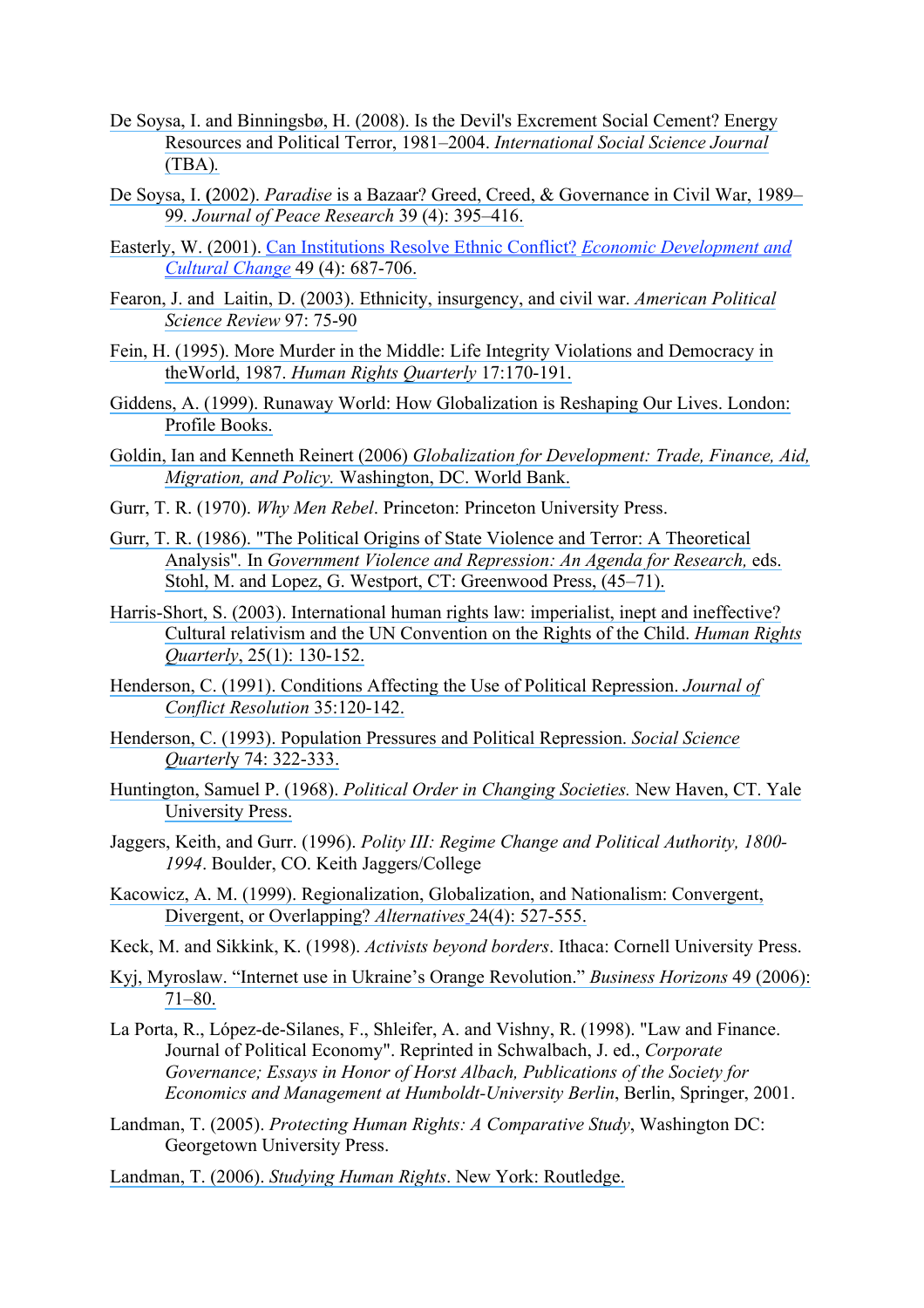- [De Soysa, I. and Binningsbø, H. \(2008\). Is the Devil's Excrement Social Cement?](https://www.researchgate.net/publication/230187540_The_Devil) Energy [Resources and Political Terror, 1981–2004.](https://www.researchgate.net/publication/230187540_The_Devil) *International Social Science Journal*  [\(TBA\)](https://www.researchgate.net/publication/230187540_The_Devil)*.*
- De Soysa, I. **(**2002). *Paradise* [is a Bazaar? Greed, Creed, & Governance in Civil War, 1989–](https://www.researchgate.net/publication/249706249_Paradise_is_a_Bazaar_Greed_Creed_and_Governance_in_Civil_War_1989-99?el=1_x_8&enrichId=rgreq-036aead6e465d93385ea61af7c07e51e-XXX&enrichSource=Y292ZXJQYWdlOzI1NDg5MjUyOTtBUzoxMDY1MTc0ODMyMjkxODVAMTQwMjQwNzE1NjQ2MQ==) 99*[. Journal of Peace Research](https://www.researchgate.net/publication/249706249_Paradise_is_a_Bazaar_Greed_Creed_and_Governance_in_Civil_War_1989-99?el=1_x_8&enrichId=rgreq-036aead6e465d93385ea61af7c07e51e-XXX&enrichSource=Y292ZXJQYWdlOzI1NDg5MjUyOTtBUzoxMDY1MTc0ODMyMjkxODVAMTQwMjQwNzE1NjQ2MQ==)* 39 (4): 395–416.
- [Easterly, W. \(2001\). Can Institutions Resolve Ethnic Conflict?](https://www.researchgate.net/publication/24097951_Can_Institutions_Resolve_Ethnic_Conflict?el=1_x_8&enrichId=rgreq-036aead6e465d93385ea61af7c07e51e-XXX&enrichSource=Y292ZXJQYWdlOzI1NDg5MjUyOTtBUzoxMDY1MTc0ODMyMjkxODVAMTQwMjQwNzE1NjQ2MQ==) *Economic Development and [Cultural Change](https://www.researchgate.net/publication/24097951_Can_Institutions_Resolve_Ethnic_Conflict?el=1_x_8&enrichId=rgreq-036aead6e465d93385ea61af7c07e51e-XXX&enrichSource=Y292ZXJQYWdlOzI1NDg5MjUyOTtBUzoxMDY1MTc0ODMyMjkxODVAMTQwMjQwNzE1NjQ2MQ==)* 49 (4): 687-706.
- [Fearon, J. and Laitin, D. \(2003\). Ethnicity, insurgency, and civil war.](https://www.researchgate.net/publication/2834579_Ethnicity_Insurgency_And_Civil_War?el=1_x_8&enrichId=rgreq-036aead6e465d93385ea61af7c07e51e-XXX&enrichSource=Y292ZXJQYWdlOzI1NDg5MjUyOTtBUzoxMDY1MTc0ODMyMjkxODVAMTQwMjQwNzE1NjQ2MQ==) *American Political [Science Review](https://www.researchgate.net/publication/2834579_Ethnicity_Insurgency_And_Civil_War?el=1_x_8&enrichId=rgreq-036aead6e465d93385ea61af7c07e51e-XXX&enrichSource=Y292ZXJQYWdlOzI1NDg5MjUyOTtBUzoxMDY1MTc0ODMyMjkxODVAMTQwMjQwNzE1NjQ2MQ==)* 97: 75-90
- [Fein, H. \(1995\). More Murder in the Middle: Life Integrity Violations and Democracy in](https://www.researchgate.net/publication/265725475_Life-Integrity_Violations_and_Democracy_in_the_World_1987?el=1_x_8&enrichId=rgreq-036aead6e465d93385ea61af7c07e51e-XXX&enrichSource=Y292ZXJQYWdlOzI1NDg5MjUyOTtBUzoxMDY1MTc0ODMyMjkxODVAMTQwMjQwNzE1NjQ2MQ==) theWorld, 1987. *[Human Rights Quarterly](https://www.researchgate.net/publication/265725475_Life-Integrity_Violations_and_Democracy_in_the_World_1987?el=1_x_8&enrichId=rgreq-036aead6e465d93385ea61af7c07e51e-XXX&enrichSource=Y292ZXJQYWdlOzI1NDg5MjUyOTtBUzoxMDY1MTc0ODMyMjkxODVAMTQwMjQwNzE1NjQ2MQ==)* 17:170-191.
- [Giddens, A. \(1999\). Runaway World: How Globalization is Reshaping Our Lives. London:](https://www.researchgate.net/publication/261043460_Runaway_World_How_Globalization_Is_Shaping_Our_Lives?el=1_x_8&enrichId=rgreq-036aead6e465d93385ea61af7c07e51e-XXX&enrichSource=Y292ZXJQYWdlOzI1NDg5MjUyOTtBUzoxMDY1MTc0ODMyMjkxODVAMTQwMjQwNzE1NjQ2MQ==) [Profile Books.](https://www.researchgate.net/publication/261043460_Runaway_World_How_Globalization_Is_Shaping_Our_Lives?el=1_x_8&enrichId=rgreq-036aead6e465d93385ea61af7c07e51e-XXX&enrichSource=Y292ZXJQYWdlOzI1NDg5MjUyOTtBUzoxMDY1MTc0ODMyMjkxODVAMTQwMjQwNzE1NjQ2MQ==)
- Goldin, Ian and Kenneth Reinert (2006) *[Globalization for Development: Trade, Finance, Aid,](https://www.researchgate.net/publication/44839300_Globalization_for_Development_Trade_Finance_Aid_Migration_and_Policy?el=1_x_8&enrichId=rgreq-036aead6e465d93385ea61af7c07e51e-XXX&enrichSource=Y292ZXJQYWdlOzI1NDg5MjUyOTtBUzoxMDY1MTc0ODMyMjkxODVAMTQwMjQwNzE1NjQ2MQ==)  Migration, and Policy.* [Washington, DC. World Bank.](https://www.researchgate.net/publication/44839300_Globalization_for_Development_Trade_Finance_Aid_Migration_and_Policy?el=1_x_8&enrichId=rgreq-036aead6e465d93385ea61af7c07e51e-XXX&enrichSource=Y292ZXJQYWdlOzI1NDg5MjUyOTtBUzoxMDY1MTc0ODMyMjkxODVAMTQwMjQwNzE1NjQ2MQ==)
- Gurr, T. R. (1970). *Why Men Rebel*. Princeton: Princeton University Press.
- [Gurr, T. R. \(1986\). "The Political Origins of State Violence and Terror: A Theoretical](https://www.researchgate.net/publication/247947362_The_Political_Origins_of_State_Violence_and_Terror_A_Theoretical_Analysis?el=1_x_8&enrichId=rgreq-036aead6e465d93385ea61af7c07e51e-XXX&enrichSource=Y292ZXJQYWdlOzI1NDg5MjUyOTtBUzoxMDY1MTc0ODMyMjkxODVAMTQwMjQwNzE1NjQ2MQ==) Analysis"*.* In *[Government Violence and Repression: An Agenda for Research,](https://www.researchgate.net/publication/247947362_The_Political_Origins_of_State_Violence_and_Terror_A_Theoretical_Analysis?el=1_x_8&enrichId=rgreq-036aead6e465d93385ea61af7c07e51e-XXX&enrichSource=Y292ZXJQYWdlOzI1NDg5MjUyOTtBUzoxMDY1MTc0ODMyMjkxODVAMTQwMjQwNzE1NjQ2MQ==)* eds. [Stohl, M. and Lopez, G. Westport, CT: Greenwood Press, \(45–71\).](https://www.researchgate.net/publication/247947362_The_Political_Origins_of_State_Violence_and_Terror_A_Theoretical_Analysis?el=1_x_8&enrichId=rgreq-036aead6e465d93385ea61af7c07e51e-XXX&enrichSource=Y292ZXJQYWdlOzI1NDg5MjUyOTtBUzoxMDY1MTc0ODMyMjkxODVAMTQwMjQwNzE1NjQ2MQ==)
- [Harris-Short, S. \(2003\). International human rights law: imperialist, inept and ineffective?](https://www.researchgate.net/publication/30052203_International_Human_Rights_Law_Imperialist_Inept_and_Ineffective_Cultural_Relativism_and_the_UN_Convention_on_the_Rights_of_the_Child?el=1_x_8&enrichId=rgreq-036aead6e465d93385ea61af7c07e51e-XXX&enrichSource=Y292ZXJQYWdlOzI1NDg5MjUyOTtBUzoxMDY1MTc0ODMyMjkxODVAMTQwMjQwNzE1NjQ2MQ==)  [Cultural relativism and the UN Convention on the Rights of the Child.](https://www.researchgate.net/publication/30052203_International_Human_Rights_Law_Imperialist_Inept_and_Ineffective_Cultural_Relativism_and_the_UN_Convention_on_the_Rights_of_the_Child?el=1_x_8&enrichId=rgreq-036aead6e465d93385ea61af7c07e51e-XXX&enrichSource=Y292ZXJQYWdlOzI1NDg5MjUyOTtBUzoxMDY1MTc0ODMyMjkxODVAMTQwMjQwNzE1NjQ2MQ==) *Human Rights Quarterly*[, 25\(1\): 130-152.](https://www.researchgate.net/publication/30052203_International_Human_Rights_Law_Imperialist_Inept_and_Ineffective_Cultural_Relativism_and_the_UN_Convention_on_the_Rights_of_the_Child?el=1_x_8&enrichId=rgreq-036aead6e465d93385ea61af7c07e51e-XXX&enrichSource=Y292ZXJQYWdlOzI1NDg5MjUyOTtBUzoxMDY1MTc0ODMyMjkxODVAMTQwMjQwNzE1NjQ2MQ==)
- [Henderson, C. \(1991\). Conditions Affecting the Use of Political Repression.](https://www.researchgate.net/publication/258144994_Conditions_Affecting_the_Use_of_Political_Repression?el=1_x_8&enrichId=rgreq-036aead6e465d93385ea61af7c07e51e-XXX&enrichSource=Y292ZXJQYWdlOzI1NDg5MjUyOTtBUzoxMDY1MTc0ODMyMjkxODVAMTQwMjQwNzE1NjQ2MQ==) *Journal of [Conflict Resolution](https://www.researchgate.net/publication/258144994_Conditions_Affecting_the_Use_of_Political_Repression?el=1_x_8&enrichId=rgreq-036aead6e465d93385ea61af7c07e51e-XXX&enrichSource=Y292ZXJQYWdlOzI1NDg5MjUyOTtBUzoxMDY1MTc0ODMyMjkxODVAMTQwMjQwNzE1NjQ2MQ==)* 35:120-142.
- [Henderson, C. \(1993\). Population Pressures and Political Repression.](https://www.researchgate.net/publication/292481452_Population_Pressures_and_Political_Repression?el=1_x_8&enrichId=rgreq-036aead6e465d93385ea61af7c07e51e-XXX&enrichSource=Y292ZXJQYWdlOzI1NDg5MjUyOTtBUzoxMDY1MTc0ODMyMjkxODVAMTQwMjQwNzE1NjQ2MQ==) *Social Science Quarterl*[y 74: 322-333.](https://www.researchgate.net/publication/292481452_Population_Pressures_and_Political_Repression?el=1_x_8&enrichId=rgreq-036aead6e465d93385ea61af7c07e51e-XXX&enrichSource=Y292ZXJQYWdlOzI1NDg5MjUyOTtBUzoxMDY1MTc0ODMyMjkxODVAMTQwMjQwNzE1NjQ2MQ==)
- Huntington, Samuel P. (1968). *[Political Order in Changing Societies.](https://www.researchgate.net/publication/235674248_Political_Order_In_Changing_Societies?el=1_x_8&enrichId=rgreq-036aead6e465d93385ea61af7c07e51e-XXX&enrichSource=Y292ZXJQYWdlOzI1NDg5MjUyOTtBUzoxMDY1MTc0ODMyMjkxODVAMTQwMjQwNzE1NjQ2MQ==)* New Haven, CT. Yale [University Press.](https://www.researchgate.net/publication/235674248_Political_Order_In_Changing_Societies?el=1_x_8&enrichId=rgreq-036aead6e465d93385ea61af7c07e51e-XXX&enrichSource=Y292ZXJQYWdlOzI1NDg5MjUyOTtBUzoxMDY1MTc0ODMyMjkxODVAMTQwMjQwNzE1NjQ2MQ==)
- Jaggers, Keith, and Gurr. (1996). *Polity III: Regime Change and Political Authority, 1800- 1994*. Boulder, CO. Keith Jaggers/College
- [Kacowicz, A. M. \(1999\). Regionalization, Globalization, and Nationalism: Convergent,](https://www.researchgate.net/publication/240609920_Regionalization_Globalization_and_Nationalism_Convergent_Divergent_or_Overlapping?el=1_x_8&enrichId=rgreq-036aead6e465d93385ea61af7c07e51e-XXX&enrichSource=Y292ZXJQYWdlOzI1NDg5MjUyOTtBUzoxMDY1MTc0ODMyMjkxODVAMTQwMjQwNzE1NjQ2MQ==)  [Divergent, or Overlapping?](https://www.researchgate.net/publication/240609920_Regionalization_Globalization_and_Nationalism_Convergent_Divergent_or_Overlapping?el=1_x_8&enrichId=rgreq-036aead6e465d93385ea61af7c07e51e-XXX&enrichSource=Y292ZXJQYWdlOzI1NDg5MjUyOTtBUzoxMDY1MTc0ODMyMjkxODVAMTQwMjQwNzE1NjQ2MQ==) *Alternatives* 24(4): 527-555.
- Keck, M. and Sikkink, K. (1998). *Activists beyond borders*. Ithaca: Cornell University Press.
- [Kyj, Myroslaw. "Internet use in Ukraine's Orange Revolution."](https://www.researchgate.net/publication/222709897_Internet_use_in_Ukraine) *Business Horizons* 49 (2006): [71–80.](https://www.researchgate.net/publication/222709897_Internet_use_in_Ukraine)
- La Porta, R., López-de-Silanes, F., Shleifer, A. and Vishny, R. (1998). "Law and Finance. Journal of Political Economy". Reprinted in Schwalbach, J. ed., *Corporate Governance; Essays in Honor of Horst Albach, Publications of the Society for Economics and Management at Humboldt-University Berlin*, Berlin, Springer, 2001.
- Landman, T. (2005). *Protecting Human Rights: A Comparative Study*, Washington DC: Georgetown University Press.
- Landman, T. (2006). *Studying Human Rights*[. New York: Routledge.](https://www.researchgate.net/publication/287291663_Studying_human_rights?el=1_x_8&enrichId=rgreq-036aead6e465d93385ea61af7c07e51e-XXX&enrichSource=Y292ZXJQYWdlOzI1NDg5MjUyOTtBUzoxMDY1MTc0ODMyMjkxODVAMTQwMjQwNzE1NjQ2MQ==)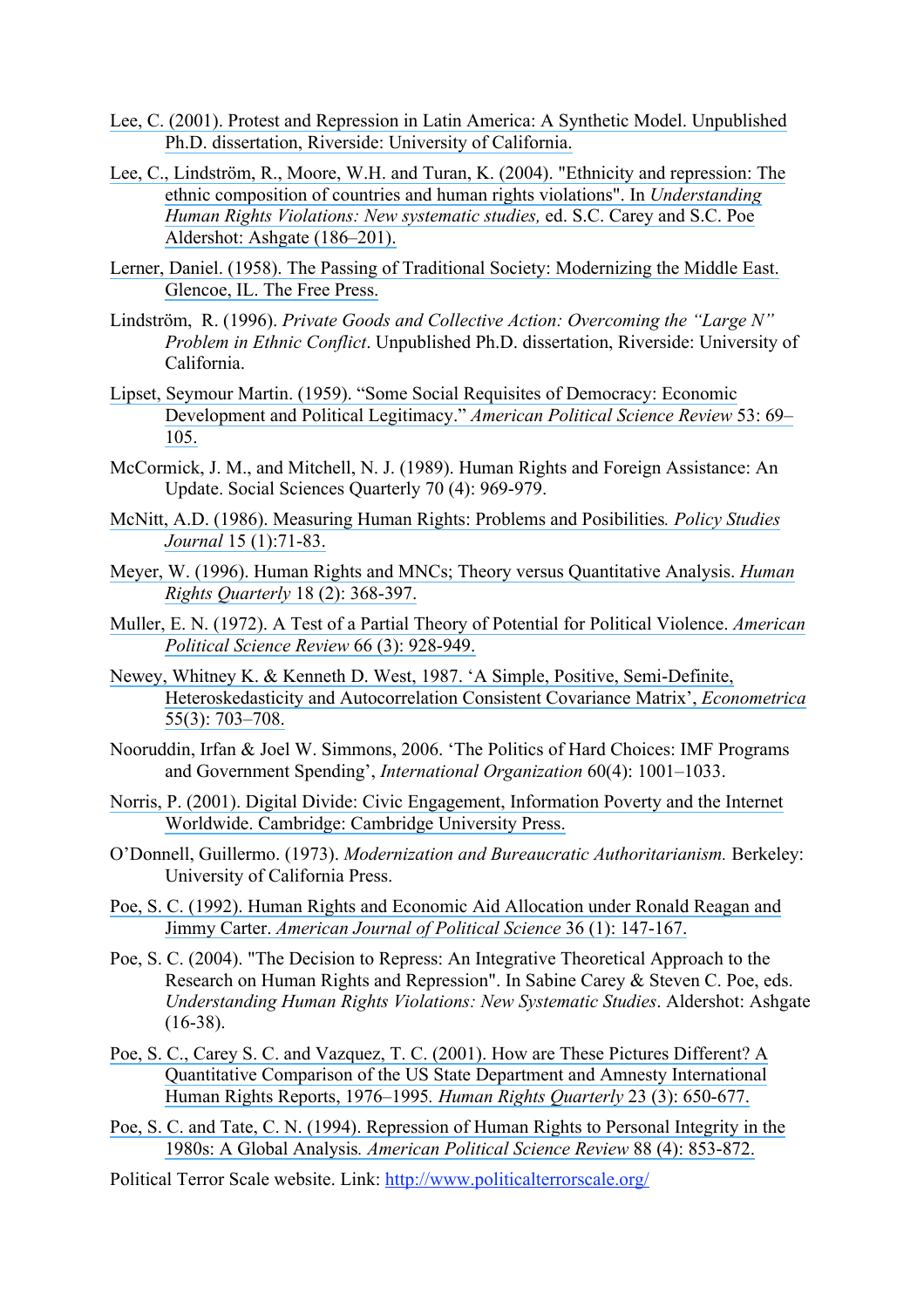- [Lee, C. \(2001\). Protest and Repression in Latin America: A Synthetic Model. Unpublished](https://www.researchgate.net/publication/33791702_Protest_and_repression_in_Latin_America_a_synthetic_model?el=1_x_8&enrichId=rgreq-036aead6e465d93385ea61af7c07e51e-XXX&enrichSource=Y292ZXJQYWdlOzI1NDg5MjUyOTtBUzoxMDY1MTc0ODMyMjkxODVAMTQwMjQwNzE1NjQ2MQ==)  [Ph.D. dissertation, Riverside: University of California.](https://www.researchgate.net/publication/33791702_Protest_and_repression_in_Latin_America_a_synthetic_model?el=1_x_8&enrichId=rgreq-036aead6e465d93385ea61af7c07e51e-XXX&enrichSource=Y292ZXJQYWdlOzI1NDg5MjUyOTtBUzoxMDY1MTc0ODMyMjkxODVAMTQwMjQwNzE1NjQ2MQ==)
- [Lee, C., Lindström, R., Moore, W.H. and Turan, K. \(2004\). "Ethnicity and repression: The](https://www.researchgate.net/publication/228487250_Ethnicity_and_repression_the_ethnic_composition_of_countries_and_human_rights_violations?el=1_x_8&enrichId=rgreq-036aead6e465d93385ea61af7c07e51e-XXX&enrichSource=Y292ZXJQYWdlOzI1NDg5MjUyOTtBUzoxMDY1MTc0ODMyMjkxODVAMTQwMjQwNzE1NjQ2MQ==)  [ethnic composition of countries and human rights violations". In](https://www.researchgate.net/publication/228487250_Ethnicity_and_repression_the_ethnic_composition_of_countries_and_human_rights_violations?el=1_x_8&enrichId=rgreq-036aead6e465d93385ea61af7c07e51e-XXX&enrichSource=Y292ZXJQYWdlOzI1NDg5MjUyOTtBUzoxMDY1MTc0ODMyMjkxODVAMTQwMjQwNzE1NjQ2MQ==) *Understanding [Human Rights Violations: New systematic studies,](https://www.researchgate.net/publication/228487250_Ethnicity_and_repression_the_ethnic_composition_of_countries_and_human_rights_violations?el=1_x_8&enrichId=rgreq-036aead6e465d93385ea61af7c07e51e-XXX&enrichSource=Y292ZXJQYWdlOzI1NDg5MjUyOTtBUzoxMDY1MTc0ODMyMjkxODVAMTQwMjQwNzE1NjQ2MQ==)* ed. S.C. Carey and S.C. Poe [Aldershot: Ashgate \(186–201\).](https://www.researchgate.net/publication/228487250_Ethnicity_and_repression_the_ethnic_composition_of_countries_and_human_rights_violations?el=1_x_8&enrichId=rgreq-036aead6e465d93385ea61af7c07e51e-XXX&enrichSource=Y292ZXJQYWdlOzI1NDg5MjUyOTtBUzoxMDY1MTc0ODMyMjkxODVAMTQwMjQwNzE1NjQ2MQ==)
- [Lerner, Daniel. \(1958\). The Passing of Traditional Society: Modernizing the Middle East.](https://www.researchgate.net/publication/232542855_The_Passing_of_Traditional_Society_Modernizing_the_Middle_East?el=1_x_8&enrichId=rgreq-036aead6e465d93385ea61af7c07e51e-XXX&enrichSource=Y292ZXJQYWdlOzI1NDg5MjUyOTtBUzoxMDY1MTc0ODMyMjkxODVAMTQwMjQwNzE1NjQ2MQ==)  [Glencoe, IL. The Free Press.](https://www.researchgate.net/publication/232542855_The_Passing_of_Traditional_Society_Modernizing_the_Middle_East?el=1_x_8&enrichId=rgreq-036aead6e465d93385ea61af7c07e51e-XXX&enrichSource=Y292ZXJQYWdlOzI1NDg5MjUyOTtBUzoxMDY1MTc0ODMyMjkxODVAMTQwMjQwNzE1NjQ2MQ==)
- Lindström, R. (1996). *Private Goods and Collective Action: Overcoming the "Large N" Problem in Ethnic Conflict*. Unpublished Ph.D. dissertation, Riverside: University of California.
- [Lipset, Seymour Martin. \(1959\). "Some Social Requisites of Democracy: Economic](https://www.researchgate.net/publication/247590073_Some_Social_Requisites_of_Democracy_Economic_Development_and_Political_Legitimacy?el=1_x_8&enrichId=rgreq-036aead6e465d93385ea61af7c07e51e-XXX&enrichSource=Y292ZXJQYWdlOzI1NDg5MjUyOTtBUzoxMDY1MTc0ODMyMjkxODVAMTQwMjQwNzE1NjQ2MQ==)  [Development and Political Legitimacy."](https://www.researchgate.net/publication/247590073_Some_Social_Requisites_of_Democracy_Economic_Development_and_Political_Legitimacy?el=1_x_8&enrichId=rgreq-036aead6e465d93385ea61af7c07e51e-XXX&enrichSource=Y292ZXJQYWdlOzI1NDg5MjUyOTtBUzoxMDY1MTc0ODMyMjkxODVAMTQwMjQwNzE1NjQ2MQ==) *American Political Science Review* 53: 69– [105.](https://www.researchgate.net/publication/247590073_Some_Social_Requisites_of_Democracy_Economic_Development_and_Political_Legitimacy?el=1_x_8&enrichId=rgreq-036aead6e465d93385ea61af7c07e51e-XXX&enrichSource=Y292ZXJQYWdlOzI1NDg5MjUyOTtBUzoxMDY1MTc0ODMyMjkxODVAMTQwMjQwNzE1NjQ2MQ==)
- McCormick, J. M., and Mitchell, N. J. (1989). Human Rights and Foreign Assistance: An Update. Social Sciences Quarterly 70 (4): 969-979.
- [McNitt, A.D. \(1986\). Measuring Human Rights: Problems and Posibilities](https://www.researchgate.net/publication/229847693_MEASURING_HUMAN_RIGHTS_PROBLEMS_AND_POSSIBILITIES1?el=1_x_8&enrichId=rgreq-036aead6e465d93385ea61af7c07e51e-XXX&enrichSource=Y292ZXJQYWdlOzI1NDg5MjUyOTtBUzoxMDY1MTc0ODMyMjkxODVAMTQwMjQwNzE1NjQ2MQ==)*. Policy Studies Journal* [15 \(1\):71-83.](https://www.researchgate.net/publication/229847693_MEASURING_HUMAN_RIGHTS_PROBLEMS_AND_POSSIBILITIES1?el=1_x_8&enrichId=rgreq-036aead6e465d93385ea61af7c07e51e-XXX&enrichSource=Y292ZXJQYWdlOzI1NDg5MjUyOTtBUzoxMDY1MTc0ODMyMjkxODVAMTQwMjQwNzE1NjQ2MQ==)
- [Meyer, W. \(1996\). Human Rights and MNCs; Theory versus Quantitative Analysis.](https://www.researchgate.net/publication/236832917_Human_Rights_and_MNCs_Theory_Versus_Quantitative_Analysis?el=1_x_8&enrichId=rgreq-036aead6e465d93385ea61af7c07e51e-XXX&enrichSource=Y292ZXJQYWdlOzI1NDg5MjUyOTtBUzoxMDY1MTc0ODMyMjkxODVAMTQwMjQwNzE1NjQ2MQ==) *Human Rights Quarterly* [18 \(2\): 368-397.](https://www.researchgate.net/publication/236832917_Human_Rights_and_MNCs_Theory_Versus_Quantitative_Analysis?el=1_x_8&enrichId=rgreq-036aead6e465d93385ea61af7c07e51e-XXX&enrichSource=Y292ZXJQYWdlOzI1NDg5MjUyOTtBUzoxMDY1MTc0ODMyMjkxODVAMTQwMjQwNzE1NjQ2MQ==)
- Muller, E. N. (1972). [A Test of a Partial Theory of Potential for Political Violence.](https://www.researchgate.net/publication/273074799_A_Test_of_a_Partial_Theory_of_Political_Violence?el=1_x_8&enrichId=rgreq-036aead6e465d93385ea61af7c07e51e-XXX&enrichSource=Y292ZXJQYWdlOzI1NDg5MjUyOTtBUzoxMDY1MTc0ODMyMjkxODVAMTQwMjQwNzE1NjQ2MQ==) *American [Political Science Review](https://www.researchgate.net/publication/273074799_A_Test_of_a_Partial_Theory_of_Political_Violence?el=1_x_8&enrichId=rgreq-036aead6e465d93385ea61af7c07e51e-XXX&enrichSource=Y292ZXJQYWdlOzI1NDg5MjUyOTtBUzoxMDY1MTc0ODMyMjkxODVAMTQwMjQwNzE1NjQ2MQ==)* 66 (3): 928-949.
- [Newey, Whitney K. & Kenneth D. West, 1987. 'A Simple, Positive, Semi-Definite,](https://www.researchgate.net/publication/4897990_A_Simple_Positive_Semi-Definite_Heteroskedasticity_and_Autocorrelation_Consistent_Covariance_Matrix?el=1_x_8&enrichId=rgreq-036aead6e465d93385ea61af7c07e51e-XXX&enrichSource=Y292ZXJQYWdlOzI1NDg5MjUyOTtBUzoxMDY1MTc0ODMyMjkxODVAMTQwMjQwNzE1NjQ2MQ==) [Heteroskedasticity and Autocorrelation Consistent Covariance Matrix',](https://www.researchgate.net/publication/4897990_A_Simple_Positive_Semi-Definite_Heteroskedasticity_and_Autocorrelation_Consistent_Covariance_Matrix?el=1_x_8&enrichId=rgreq-036aead6e465d93385ea61af7c07e51e-XXX&enrichSource=Y292ZXJQYWdlOzI1NDg5MjUyOTtBUzoxMDY1MTc0ODMyMjkxODVAMTQwMjQwNzE1NjQ2MQ==) *Econometrica* [55\(3\): 703–708.](https://www.researchgate.net/publication/4897990_A_Simple_Positive_Semi-Definite_Heteroskedasticity_and_Autocorrelation_Consistent_Covariance_Matrix?el=1_x_8&enrichId=rgreq-036aead6e465d93385ea61af7c07e51e-XXX&enrichSource=Y292ZXJQYWdlOzI1NDg5MjUyOTtBUzoxMDY1MTc0ODMyMjkxODVAMTQwMjQwNzE1NjQ2MQ==)
- Nooruddin, Irfan & Joel W. Simmons, 2006. 'The Politics of Hard Choices: IMF Programs and Government Spending', *International Organization* 60(4): 1001–1033.
- [Norris, P. \(2001\). Digital Divide: Civic Engagement, Information Poverty and the Internet](https://www.researchgate.net/publication/261947703_Digital_Divide_Civic_Engagement_Information_Poverty_and_the_Internet_World-Wide?el=1_x_8&enrichId=rgreq-036aead6e465d93385ea61af7c07e51e-XXX&enrichSource=Y292ZXJQYWdlOzI1NDg5MjUyOTtBUzoxMDY1MTc0ODMyMjkxODVAMTQwMjQwNzE1NjQ2MQ==) [Worldwide. Cambridge: Cambridge University Press.](https://www.researchgate.net/publication/261947703_Digital_Divide_Civic_Engagement_Information_Poverty_and_the_Internet_World-Wide?el=1_x_8&enrichId=rgreq-036aead6e465d93385ea61af7c07e51e-XXX&enrichSource=Y292ZXJQYWdlOzI1NDg5MjUyOTtBUzoxMDY1MTc0ODMyMjkxODVAMTQwMjQwNzE1NjQ2MQ==)
- O'Donnell, Guillermo. (1973). *Modernization and Bureaucratic Authoritarianism.* Berkeley: University of California Press.
- [Poe, S. C. \(1992\). Human Rights and Economic Aid Allocation under Ronald Reagan and](https://www.researchgate.net/publication/246400679_Human_Rights_and_Economic_Aid_Allocation_Under_Ronald_Reagan_and_Jimmy_Carter?el=1_x_8&enrichId=rgreq-036aead6e465d93385ea61af7c07e51e-XXX&enrichSource=Y292ZXJQYWdlOzI1NDg5MjUyOTtBUzoxMDY1MTc0ODMyMjkxODVAMTQwMjQwNzE1NjQ2MQ==) Jimmy Carter. *[American Journal of Political Science](https://www.researchgate.net/publication/246400679_Human_Rights_and_Economic_Aid_Allocation_Under_Ronald_Reagan_and_Jimmy_Carter?el=1_x_8&enrichId=rgreq-036aead6e465d93385ea61af7c07e51e-XXX&enrichSource=Y292ZXJQYWdlOzI1NDg5MjUyOTtBUzoxMDY1MTc0ODMyMjkxODVAMTQwMjQwNzE1NjQ2MQ==)* 36 (1): 147-167.
- Poe, S. C. (2004). "The Decision to Repress: An Integrative Theoretical Approach to the Research on Human Rights and Repression". In Sabine Carey & Steven C. Poe, eds. *Understanding Human Rights Violations: New Systematic Studies*. Aldershot: Ashgate  $(16-38)$ .
- [Poe, S. C., Carey S. C. and Vazquez, T. C. \(2001\). How are These Pictures Different? A](https://www.researchgate.net/publication/233812755_How_are_These_Pictures_Different_A_Quantitative_Comparison_of_the_US_State_Department_and_Amnesty_International_Human_Rights_Reports_1976-1995?el=1_x_8&enrichId=rgreq-036aead6e465d93385ea61af7c07e51e-XXX&enrichSource=Y292ZXJQYWdlOzI1NDg5MjUyOTtBUzoxMDY1MTc0ODMyMjkxODVAMTQwMjQwNzE1NjQ2MQ==)  [Quantitative Comparison of the US State Department and Amnesty International](https://www.researchgate.net/publication/233812755_How_are_These_Pictures_Different_A_Quantitative_Comparison_of_the_US_State_Department_and_Amnesty_International_Human_Rights_Reports_1976-1995?el=1_x_8&enrichId=rgreq-036aead6e465d93385ea61af7c07e51e-XXX&enrichSource=Y292ZXJQYWdlOzI1NDg5MjUyOTtBUzoxMDY1MTc0ODMyMjkxODVAMTQwMjQwNzE1NjQ2MQ==)  [Human Rights Reports, 1976–1995](https://www.researchgate.net/publication/233812755_How_are_These_Pictures_Different_A_Quantitative_Comparison_of_the_US_State_Department_and_Amnesty_International_Human_Rights_Reports_1976-1995?el=1_x_8&enrichId=rgreq-036aead6e465d93385ea61af7c07e51e-XXX&enrichSource=Y292ZXJQYWdlOzI1NDg5MjUyOTtBUzoxMDY1MTc0ODMyMjkxODVAMTQwMjQwNzE1NjQ2MQ==)*. Human Rights Quarterly* 23 (3): 650-677.
- [Poe, S. C. and Tate, C. N. \(1994\). Repression of Human Rights to Personal Integrity in the](https://www.researchgate.net/publication/247392889_Repression_of_Human_Rights_to_Personal_Integrity_in_the_1980s_A_Global_Analysis?el=1_x_8&enrichId=rgreq-036aead6e465d93385ea61af7c07e51e-XXX&enrichSource=Y292ZXJQYWdlOzI1NDg5MjUyOTtBUzoxMDY1MTc0ODMyMjkxODVAMTQwMjQwNzE1NjQ2MQ==)  1980s: A Global Analysis*. [American Political Science Review](https://www.researchgate.net/publication/247392889_Repression_of_Human_Rights_to_Personal_Integrity_in_the_1980s_A_Global_Analysis?el=1_x_8&enrichId=rgreq-036aead6e465d93385ea61af7c07e51e-XXX&enrichSource=Y292ZXJQYWdlOzI1NDg5MjUyOTtBUzoxMDY1MTc0ODMyMjkxODVAMTQwMjQwNzE1NjQ2MQ==)* 88 (4): 853-872.

Political Terror Scale website. Link: http://www.politicalterrorscale.org/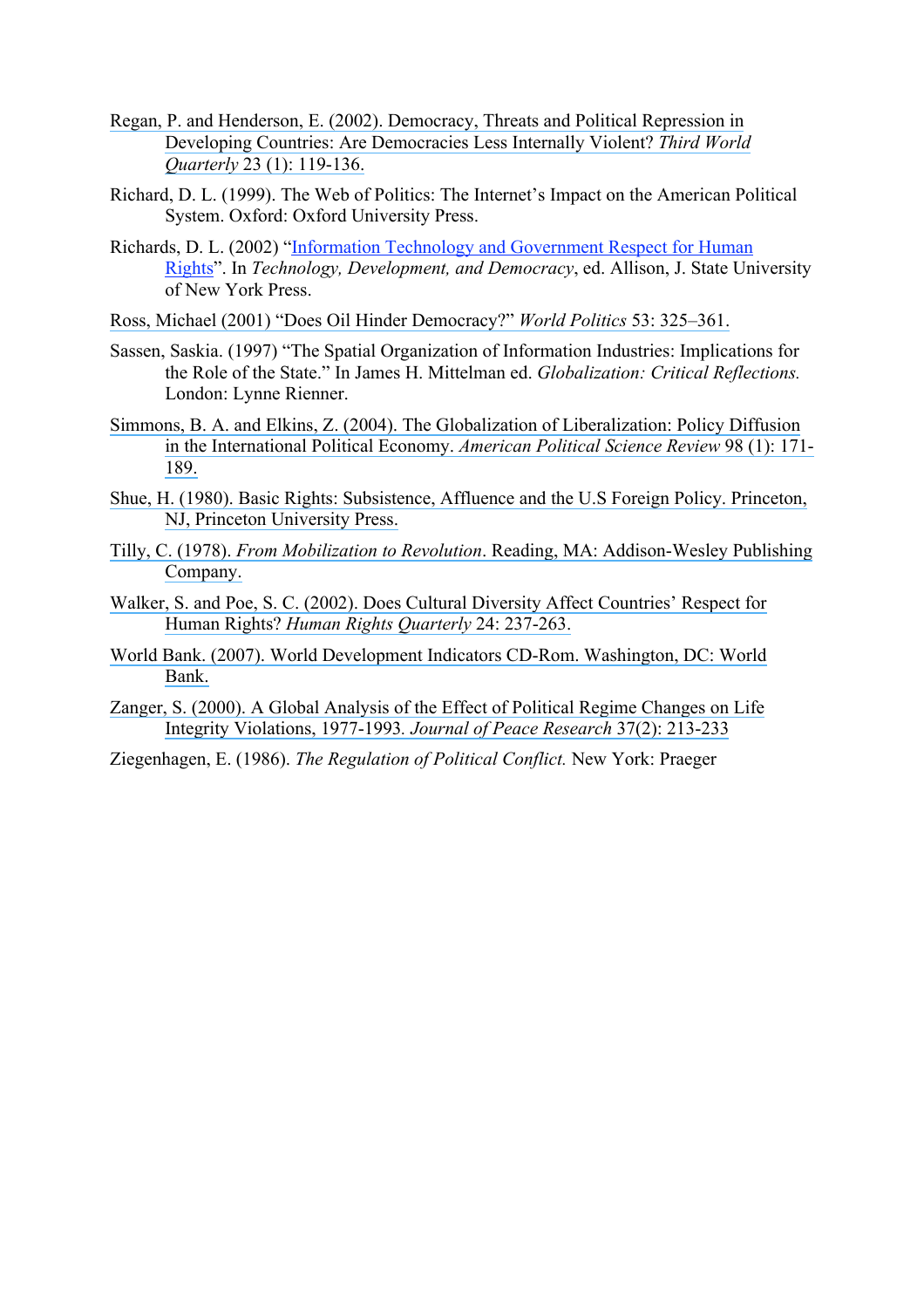- [Regan, P. and Henderson, E. \(2002\). Democracy, Threats and Political Repression in](https://www.researchgate.net/publication/228746824_Democracy_threats_and_political_repression_in_developing_countries_Are_democracies_internally_less_violent?el=1_x_8&enrichId=rgreq-036aead6e465d93385ea61af7c07e51e-XXX&enrichSource=Y292ZXJQYWdlOzI1NDg5MjUyOTtBUzoxMDY1MTc0ODMyMjkxODVAMTQwMjQwNzE1NjQ2MQ==) [Developing Countries: Are Democracies Less Internally Violent?](https://www.researchgate.net/publication/228746824_Democracy_threats_and_political_repression_in_developing_countries_Are_democracies_internally_less_violent?el=1_x_8&enrichId=rgreq-036aead6e465d93385ea61af7c07e51e-XXX&enrichSource=Y292ZXJQYWdlOzI1NDg5MjUyOTtBUzoxMDY1MTc0ODMyMjkxODVAMTQwMjQwNzE1NjQ2MQ==) *Third World Quarterly* [23 \(1\): 119-136.](https://www.researchgate.net/publication/228746824_Democracy_threats_and_political_repression_in_developing_countries_Are_democracies_internally_less_violent?el=1_x_8&enrichId=rgreq-036aead6e465d93385ea61af7c07e51e-XXX&enrichSource=Y292ZXJQYWdlOzI1NDg5MjUyOTtBUzoxMDY1MTc0ODMyMjkxODVAMTQwMjQwNzE1NjQ2MQ==)
- Richard, D. L. (1999). The Web of Politics: The Internet's Impact on the American Political System. Oxford: Oxford University Press.
- Richards, D. L. (2002) "Information Technology and Government Respect for Human Rights". In *Technology, Development, and Democracy*, ed. Allison, J. State University of New York Press.
- [Ross, Michael \(2001\) "Does Oil Hinder Democracy?"](https://www.researchgate.net/publication/236710633_Does_Oil_Hinder_Democracy?el=1_x_8&enrichId=rgreq-036aead6e465d93385ea61af7c07e51e-XXX&enrichSource=Y292ZXJQYWdlOzI1NDg5MjUyOTtBUzoxMDY1MTc0ODMyMjkxODVAMTQwMjQwNzE1NjQ2MQ==) *World Politics* 53: 325–361.
- Sassen, Saskia. (1997) "The Spatial Organization of Information Industries: Implications for the Role of the State." In James H. Mittelman ed. *Globalization: Critical Reflections.*  London: Lynne Rienner.
- [Simmons, B. A. and Elkins, Z. \(2004\). The Globalization of Liberalization:](https://www.researchgate.net/publication/40783732_The_Globalization_of_Liberalization_Policy_Diffusion_in_the_International_Political_Economy?el=1_x_8&enrichId=rgreq-036aead6e465d93385ea61af7c07e51e-XXX&enrichSource=Y292ZXJQYWdlOzI1NDg5MjUyOTtBUzoxMDY1MTc0ODMyMjkxODVAMTQwMjQwNzE1NjQ2MQ==) Policy Diffusion [in the International Political Economy.](https://www.researchgate.net/publication/40783732_The_Globalization_of_Liberalization_Policy_Diffusion_in_the_International_Political_Economy?el=1_x_8&enrichId=rgreq-036aead6e465d93385ea61af7c07e51e-XXX&enrichSource=Y292ZXJQYWdlOzI1NDg5MjUyOTtBUzoxMDY1MTc0ODMyMjkxODVAMTQwMjQwNzE1NjQ2MQ==) *American Political Science Review* 98 (1): 171- [189.](https://www.researchgate.net/publication/40783732_The_Globalization_of_Liberalization_Policy_Diffusion_in_the_International_Political_Economy?el=1_x_8&enrichId=rgreq-036aead6e465d93385ea61af7c07e51e-XXX&enrichSource=Y292ZXJQYWdlOzI1NDg5MjUyOTtBUzoxMDY1MTc0ODMyMjkxODVAMTQwMjQwNzE1NjQ2MQ==)
- [Shue, H. \(1980\). Basic Rights: Subsistence, Affluence and the U.S Foreign Policy. Princeton,](https://www.researchgate.net/publication/269856691_Basic_Rights_Subsistence_Affluence_and_US_Foreign_Policy?el=1_x_8&enrichId=rgreq-036aead6e465d93385ea61af7c07e51e-XXX&enrichSource=Y292ZXJQYWdlOzI1NDg5MjUyOTtBUzoxMDY1MTc0ODMyMjkxODVAMTQwMjQwNzE1NjQ2MQ==)  [NJ, Princeton University Press.](https://www.researchgate.net/publication/269856691_Basic_Rights_Subsistence_Affluence_and_US_Foreign_Policy?el=1_x_8&enrichId=rgreq-036aead6e465d93385ea61af7c07e51e-XXX&enrichSource=Y292ZXJQYWdlOzI1NDg5MjUyOTtBUzoxMDY1MTc0ODMyMjkxODVAMTQwMjQwNzE1NjQ2MQ==)
- Tilly, C. (1978). *From Mobilization to Revolution*[. Reading, MA: Addison-Wesley Publishing](https://www.researchgate.net/publication/50324720_From_Mobilization_to_Revolution?el=1_x_8&enrichId=rgreq-036aead6e465d93385ea61af7c07e51e-XXX&enrichSource=Y292ZXJQYWdlOzI1NDg5MjUyOTtBUzoxMDY1MTc0ODMyMjkxODVAMTQwMjQwNzE1NjQ2MQ==) [Company.](https://www.researchgate.net/publication/50324720_From_Mobilization_to_Revolution?el=1_x_8&enrichId=rgreq-036aead6e465d93385ea61af7c07e51e-XXX&enrichSource=Y292ZXJQYWdlOzI1NDg5MjUyOTtBUzoxMDY1MTc0ODMyMjkxODVAMTQwMjQwNzE1NjQ2MQ==)
- [Walker, S. and Poe, S. C. \(2002\). Does Cultural Diversity Affect Countries'](https://www.researchgate.net/publication/236806051_Does_Cultural_Diversity_Affect_Countries) Respect for Human Rights? *[Human Rights Quarterly](https://www.researchgate.net/publication/236806051_Does_Cultural_Diversity_Affect_Countries)* 24: 237-263.
- [World Bank. \(2007\). World Development Indicators CD-Rom. Washington, DC: World](https://www.researchgate.net/publication/44833307_World_development_indicators_on_CD-ROM?el=1_x_8&enrichId=rgreq-036aead6e465d93385ea61af7c07e51e-XXX&enrichSource=Y292ZXJQYWdlOzI1NDg5MjUyOTtBUzoxMDY1MTc0ODMyMjkxODVAMTQwMjQwNzE1NjQ2MQ==)  [Bank.](https://www.researchgate.net/publication/44833307_World_development_indicators_on_CD-ROM?el=1_x_8&enrichId=rgreq-036aead6e465d93385ea61af7c07e51e-XXX&enrichSource=Y292ZXJQYWdlOzI1NDg5MjUyOTtBUzoxMDY1MTc0ODMyMjkxODVAMTQwMjQwNzE1NjQ2MQ==)
- [Zanger, S. \(2000\). A Global Analysis of the Effect of Political Regime Changes on Life](https://www.researchgate.net/publication/233812764_A_Global_Analysis_of_the_Effect_of_Political_Regime_Changes_on_Life_Integrity_Violations_1977-93?el=1_x_8&enrichId=rgreq-036aead6e465d93385ea61af7c07e51e-XXX&enrichSource=Y292ZXJQYWdlOzI1NDg5MjUyOTtBUzoxMDY1MTc0ODMyMjkxODVAMTQwMjQwNzE1NjQ2MQ==) [Integrity Violations, 1977-1993](https://www.researchgate.net/publication/233812764_A_Global_Analysis_of_the_Effect_of_Political_Regime_Changes_on_Life_Integrity_Violations_1977-93?el=1_x_8&enrichId=rgreq-036aead6e465d93385ea61af7c07e51e-XXX&enrichSource=Y292ZXJQYWdlOzI1NDg5MjUyOTtBUzoxMDY1MTc0ODMyMjkxODVAMTQwMjQwNzE1NjQ2MQ==)*. Journal of Peace Research* 37(2): 213-233
- Ziegenhagen, E. (1986). *The Regulation of Political Conflict.* New York: Praeger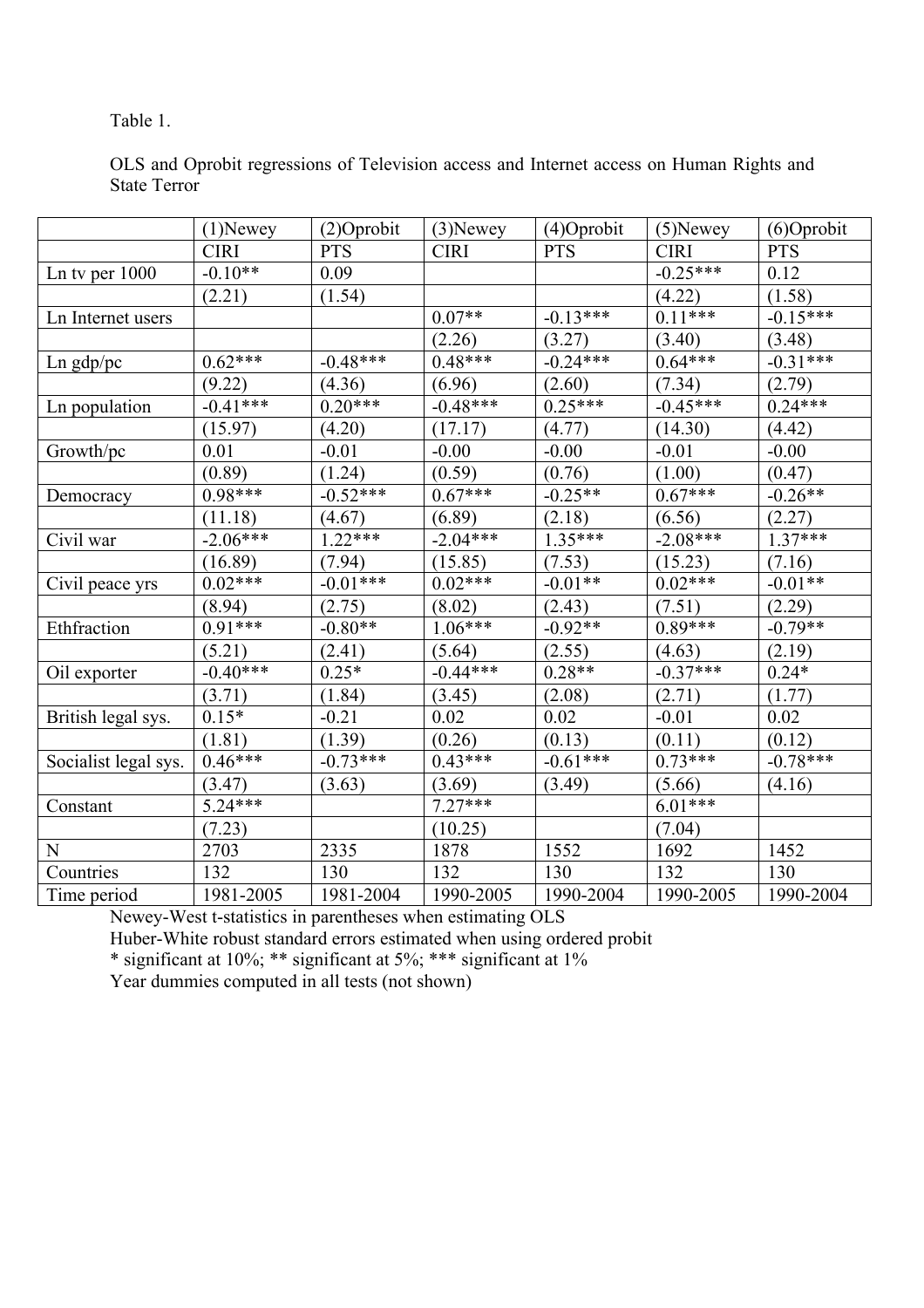# Table 1.

OLS and Oprobit regressions of Television access and Internet access on Human Rights and State Terror

|                      | $(1)$ Newey | $(2)$ Oprobit | $(3)$ Newey | $(4)$ Oprobit | $(5)$ Newey | $(6)$ Oprobit |
|----------------------|-------------|---------------|-------------|---------------|-------------|---------------|
|                      | <b>CIRI</b> | <b>PTS</b>    | <b>CIRI</b> | <b>PTS</b>    | <b>CIRI</b> | <b>PTS</b>    |
| Ln tv per $1000$     | $-0.10**$   | 0.09          |             |               | $-0.25***$  | 0.12          |
|                      | (2.21)      | (1.54)        |             |               | (4.22)      | (1.58)        |
| Ln Internet users    |             |               | $0.07**$    | $-0.13***$    | $0.11***$   | $-0.15***$    |
|                      |             |               | (2.26)      | (3.27)        | (3.40)      | (3.48)        |
| $\text{Ln } gdp/pc$  | $0.62***$   | $-0.48***$    | $0.48***$   | $-0.24***$    | $0.64***$   | $-0.31***$    |
|                      | (9.22)      | (4.36)        | (6.96)      | (2.60)        | (7.34)      | (2.79)        |
| Ln population        | $-0.41***$  | $0.20***$     | $-0.48***$  | $0.25***$     | $-0.45***$  | $0.24***$     |
|                      | (15.97)     | (4.20)        | (17.17)     | (4.77)        | (14.30)     | (4.42)        |
| Growth/pc            | 0.01        | $-0.01$       | $-0.00$     | $-0.00$       | $-0.01$     | $-0.00$       |
|                      | (0.89)      | (1.24)        | (0.59)      | (0.76)        | (1.00)      | (0.47)        |
| Democracy            | $0.98***$   | $-0.52***$    | $0.67***$   | $-0.25**$     | $0.67***$   | $-0.26**$     |
|                      | (11.18)     | (4.67)        | (6.89)      | (2.18)        | (6.56)      | (2.27)        |
| Civil war            | $-2.06***$  | $1.22***$     | $-2.04***$  | $1.35***$     | $-2.08***$  | $1.37***$     |
|                      | (16.89)     | (7.94)        | (15.85)     | (7.53)        | (15.23)     | (7.16)        |
| Civil peace yrs      | $0.02***$   | $-0.01***$    | $0.02***$   | $-0.01**$     | $0.02***$   | $-0.01**$     |
|                      | (8.94)      | (2.75)        | (8.02)      | (2.43)        | (7.51)      | (2.29)        |
| Ethfraction          | $0.91***$   | $-0.80**$     | $1.06***$   | $-0.92**$     | $0.89***$   | $-0.79**$     |
|                      | (5.21)      | (2.41)        | (5.64)      | (2.55)        | (4.63)      | (2.19)        |
| Oil exporter         | $-0.40***$  | $0.25*$       | $-0.44***$  | $0.28**$      | $-0.37***$  | $0.24*$       |
|                      | (3.71)      | (1.84)        | (3.45)      | (2.08)        | (2.71)      | (1.77)        |
| British legal sys.   | $0.15*$     | $-0.21$       | 0.02        | 0.02          | $-0.01$     | 0.02          |
|                      | (1.81)      | (1.39)        | (0.26)      | (0.13)        | (0.11)      | (0.12)        |
| Socialist legal sys. | $0.46***$   | $-0.73***$    | $0.43***$   | $-0.61***$    | $0.73***$   | $-0.78***$    |
|                      | (3.47)      | (3.63)        | (3.69)      | (3.49)        | (5.66)      | (4.16)        |
| Constant             | $5.24***$   |               | $7.27***$   |               | $6.01***$   |               |
|                      | (7.23)      |               | (10.25)     |               | (7.04)      |               |
| ${\bf N}$            | 2703        | 2335          | 1878        | 1552          | 1692        | 1452          |
| Countries            | 132         | 130           | 132         | 130           | 132         | 130           |
| Time period          | 1981-2005   | 1981-2004     | 1990-2005   | 1990-2004     | 1990-2005   | 1990-2004     |

Newey-West t-statistics in parentheses when estimating OLS

Huber-White robust standard errors estimated when using ordered probit

\* significant at 10%; \*\* significant at 5%; \*\*\* significant at 1%

Year dummies computed in all tests (not shown)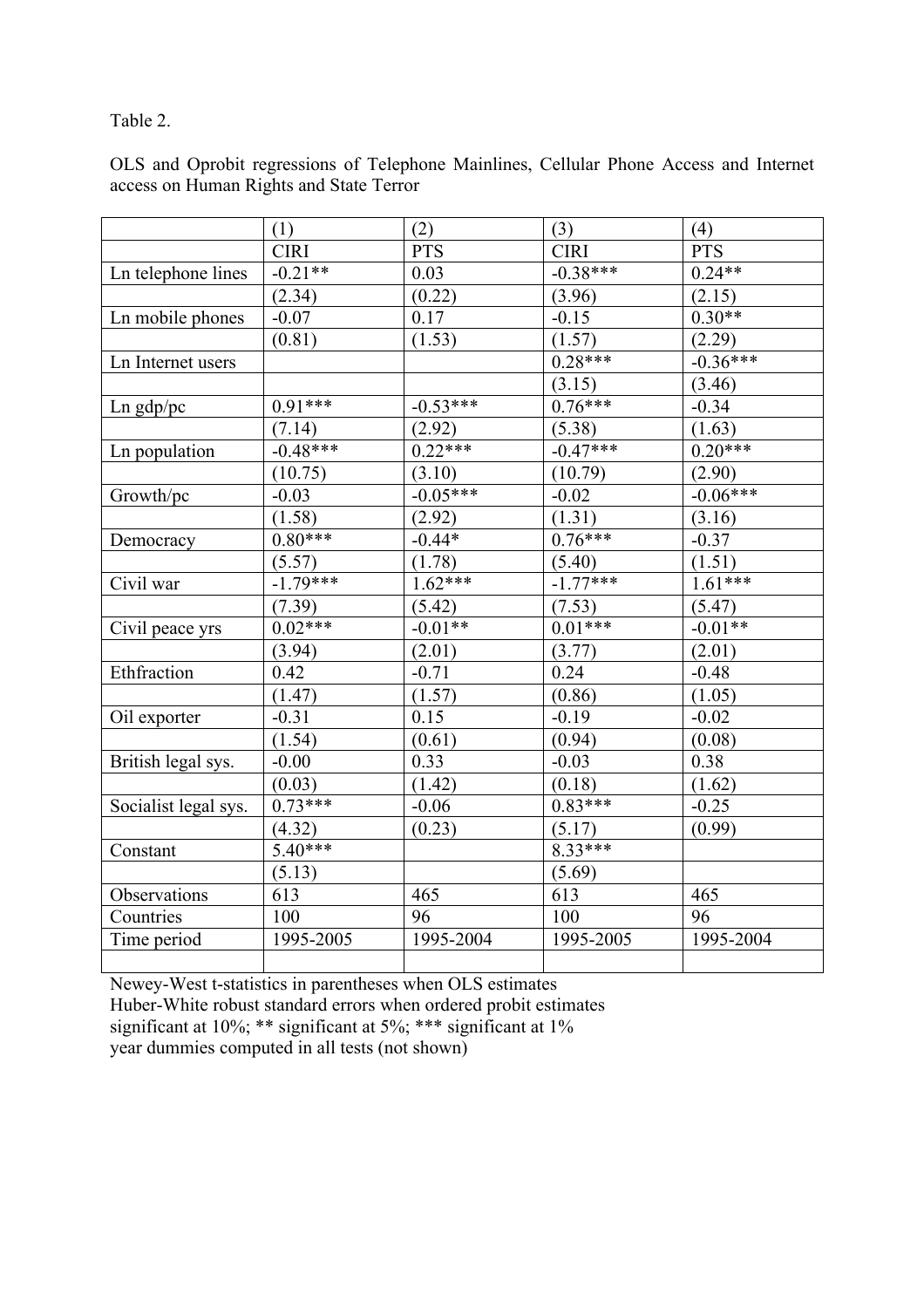# Table 2.

|                      | (1)         | (2)        | (3)         | (4)        |
|----------------------|-------------|------------|-------------|------------|
|                      | <b>CIRI</b> | <b>PTS</b> | <b>CIRI</b> | <b>PTS</b> |
| Ln telephone lines   | $-0.21**$   | 0.03       | $-0.38***$  | $0.24**$   |
|                      | (2.34)      | (0.22)     | (3.96)      | (2.15)     |
| Ln mobile phones     | $-0.07$     | 0.17       | $-0.15$     | $0.30**$   |
|                      | (0.81)      | (1.53)     | (1.57)      | (2.29)     |
| Ln Internet users    |             |            | $0.28***$   | $-0.36***$ |
|                      |             |            | (3.15)      | (3.46)     |
| $Ln$ gdp/pc          | $0.91***$   | $-0.53***$ | $0.76***$   | $-0.34$    |
|                      | (7.14)      | (2.92)     | (5.38)      | (1.63)     |
| Ln population        | $-0.48***$  | $0.22***$  | $-0.47***$  | $0.20***$  |
|                      | (10.75)     | (3.10)     | (10.79)     | (2.90)     |
| Growth/pc            | $-0.03$     | $-0.05***$ | $-0.02$     | $-0.06***$ |
|                      | (1.58)      | (2.92)     | (1.31)      | (3.16)     |
| Democracy            | $0.80***$   | $-0.44*$   | $0.76***$   | $-0.37$    |
|                      | (5.57)      | (1.78)     | (5.40)      | (1.51)     |
| Civil war            | $-1.79***$  | $1.62***$  | $-1.77***$  | $1.61***$  |
|                      | (7.39)      | (5.42)     | (7.53)      | (5.47)     |
| Civil peace yrs      | $0.02***$   | $-0.01**$  | $0.01***$   | $-0.01**$  |
|                      | (3.94)      | (2.01)     | (3.77)      | (2.01)     |
| Ethfraction          | 0.42        | $-0.71$    | 0.24        | $-0.48$    |
|                      | (1.47)      | (1.57)     | (0.86)      | (1.05)     |
| Oil exporter         | $-0.31$     | 0.15       | $-0.19$     | $-0.02$    |
|                      | (1.54)      | (0.61)     | (0.94)      | (0.08)     |
| British legal sys.   | $-0.00$     | 0.33       | $-0.03$     | 0.38       |
|                      | (0.03)      | (1.42)     | (0.18)      | (1.62)     |
| Socialist legal sys. | $0.73***$   | $-0.06$    | $0.83***$   | $-0.25$    |
|                      | (4.32)      | (0.23)     | (5.17)      | (0.99)     |
| Constant             | $5.40***$   |            | $8.33***$   |            |
|                      | (5.13)      |            | (5.69)      |            |
| Observations         | 613         | 465        | 613         | 465        |
| Countries            | 100         | 96         | 100         | 96         |
| Time period          | 1995-2005   | 1995-2004  | 1995-2005   | 1995-2004  |
|                      |             |            |             |            |

OLS and Oprobit regressions of Telephone Mainlines, Cellular Phone Access and Internet access on Human Rights and State Terror

Newey-West t-statistics in parentheses when OLS estimates Huber-White robust standard errors when ordered probit estimates significant at 10%; \*\* significant at 5%; \*\*\* significant at 1% year dummies computed in all tests (not shown)